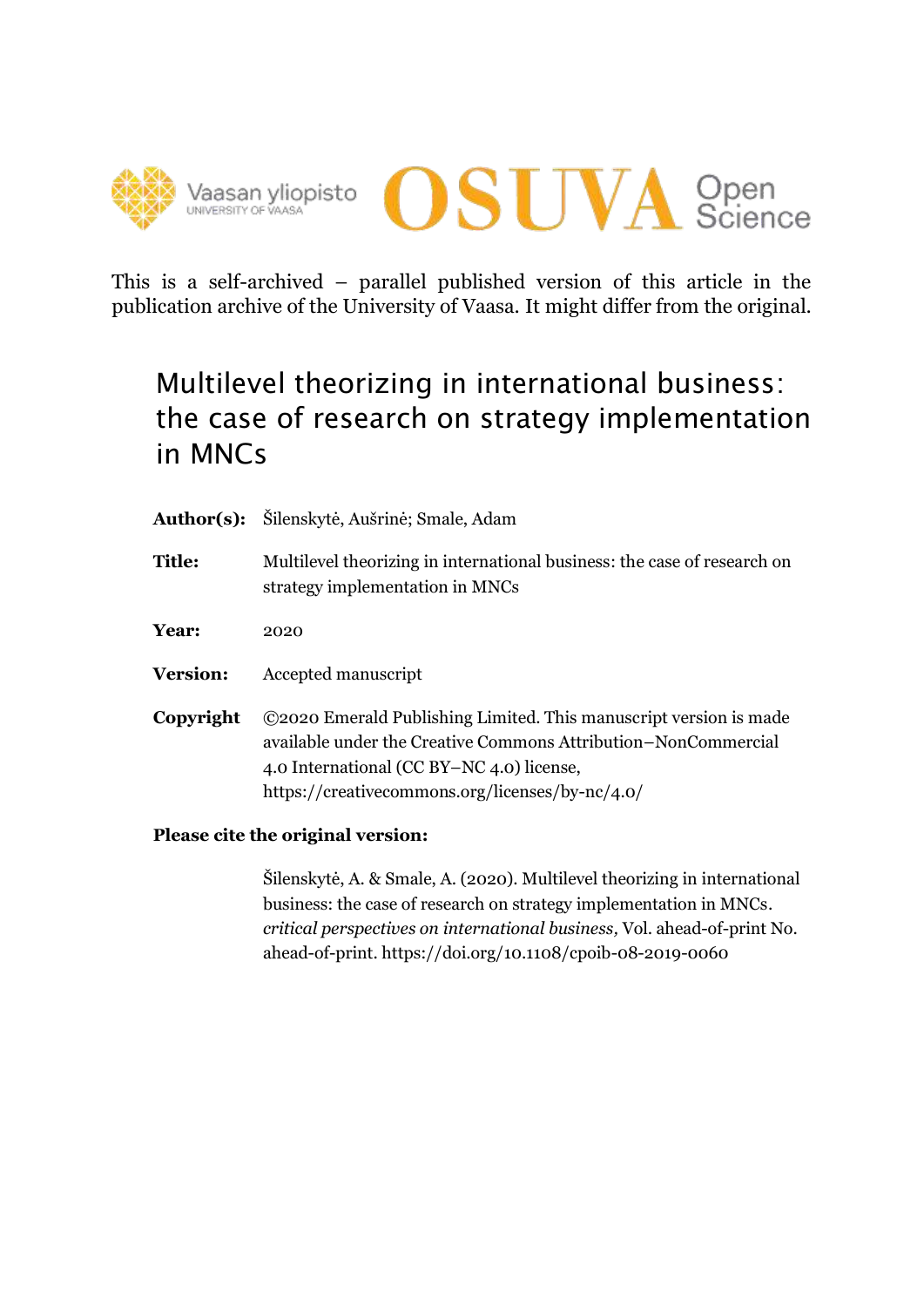



This is a self-archived – parallel published version of this article in the publication archive of the University of Vaasa. It might differ from the original.

# Multilevel theorizing in international business: the case of research on strategy implementation in MNCs

- **Author(s):** Šilenskytė, Aušrinė; Smale, Adam
- **Title:** Multilevel theorizing in international business: the case of research on strategy implementation in MNCs
- **Year:** 2020
- **Version:** Accepted manuscript
- **Copyright** ©2020 Emerald Publishing Limited. This manuscript version is made available under the Creative Commons Attribution–NonCommercial 4.0 International (CC BY–NC 4.0) license, https://creativecommons.org/licenses/by-nc/4.0/

## **Please cite the original version:**

Šilenskytė, A. & Smale, A. (2020). Multilevel theorizing in international business: the case of research on strategy implementation in MNCs. *critical perspectives on international business,* Vol. ahead-of-print No. ahead-of-print.<https://doi.org/10.1108/cpoib-08-2019-0060>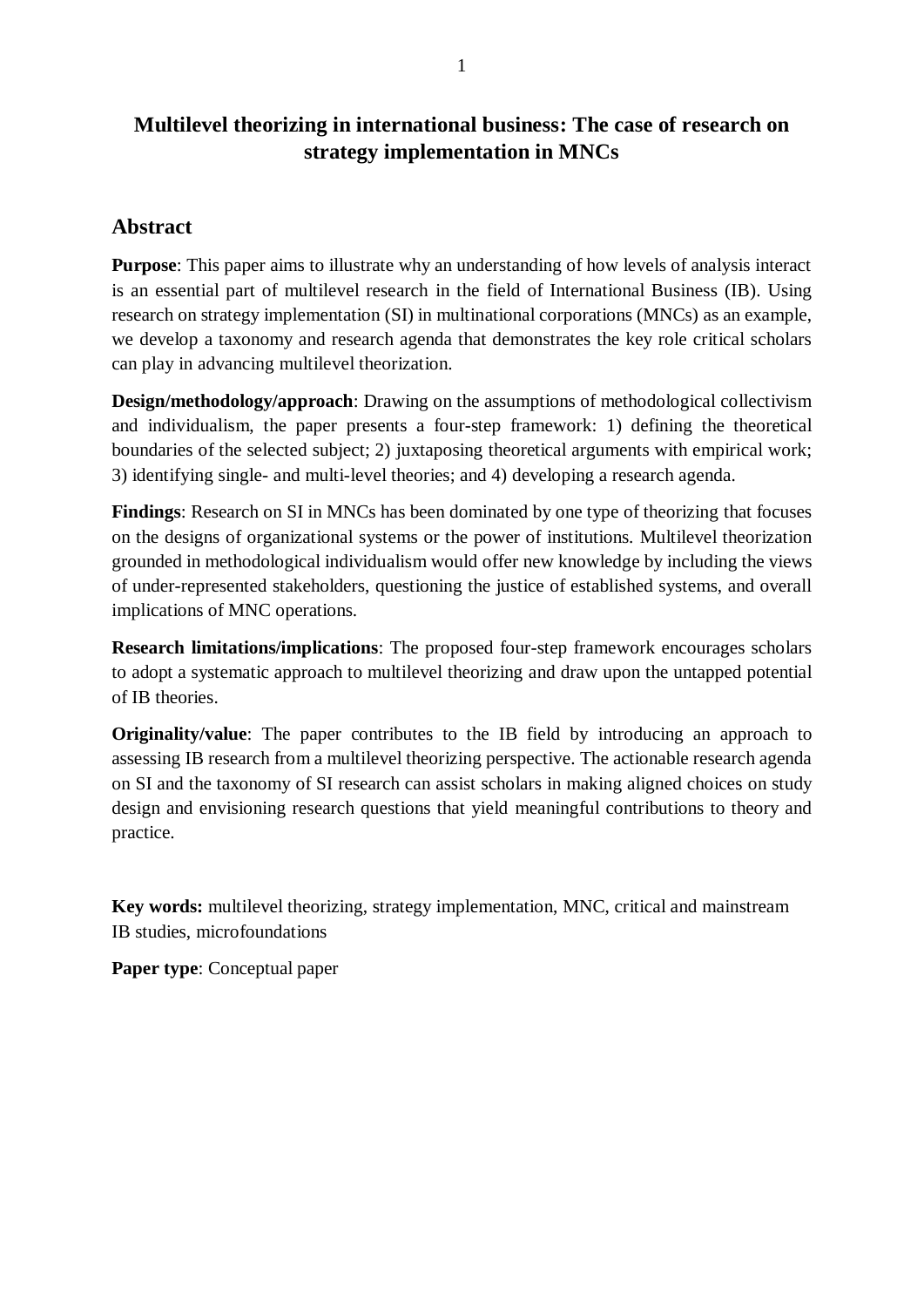## **Multilevel theorizing in international business: The case of research on strategy implementation in MNCs**

## **Abstract**

**Purpose**: This paper aims to illustrate why an understanding of how levels of analysis interact is an essential part of multilevel research in the field of International Business (IB). Using research on strategy implementation (SI) in multinational corporations (MNCs) as an example, we develop a taxonomy and research agenda that demonstrates the key role critical scholars can play in advancing multilevel theorization.

**Design/methodology/approach**: Drawing on the assumptions of methodological collectivism and individualism, the paper presents a four-step framework: 1) defining the theoretical boundaries of the selected subject; 2) juxtaposing theoretical arguments with empirical work; 3) identifying single- and multi-level theories; and 4) developing a research agenda.

**Findings**: Research on SI in MNCs has been dominated by one type of theorizing that focuses on the designs of organizational systems or the power of institutions. Multilevel theorization grounded in methodological individualism would offer new knowledge by including the views of under-represented stakeholders, questioning the justice of established systems, and overall implications of MNC operations.

**Research limitations/implications**: The proposed four-step framework encourages scholars to adopt a systematic approach to multilevel theorizing and draw upon the untapped potential of IB theories.

**Originality/value**: The paper contributes to the IB field by introducing an approach to assessing IB research from a multilevel theorizing perspective. The actionable research agenda on SI and the taxonomy of SI research can assist scholars in making aligned choices on study design and envisioning research questions that yield meaningful contributions to theory and practice.

**Key words:** multilevel theorizing, strategy implementation, MNC, critical and mainstream IB studies, microfoundations

**Paper type**: Conceptual paper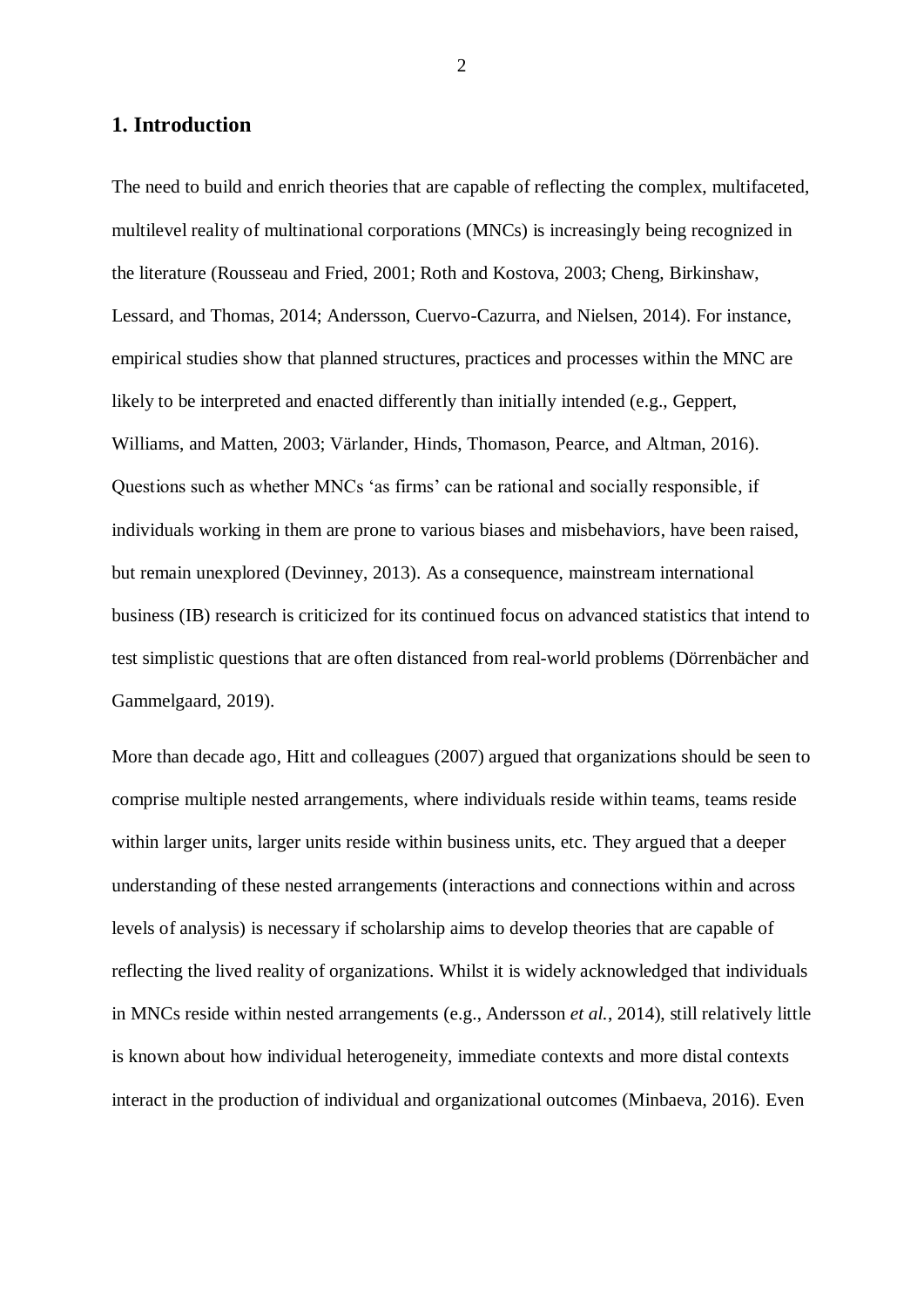### **1. Introduction**

The need to build and enrich theories that are capable of reflecting the complex, multifaceted, multilevel reality of multinational corporations (MNCs) is increasingly being recognized in the literature (Rousseau and Fried, 2001; Roth and Kostova, 2003; Cheng, Birkinshaw, Lessard, and Thomas, 2014; Andersson, Cuervo-Cazurra, and Nielsen, 2014). For instance, empirical studies show that planned structures, practices and processes within the MNC are likely to be interpreted and enacted differently than initially intended (e.g., Geppert, Williams, and Matten, 2003; Värlander, Hinds, Thomason, Pearce, and Altman, 2016). Questions such as whether MNCs 'as firms' can be rational and socially responsible, if individuals working in them are prone to various biases and misbehaviors, have been raised, but remain unexplored (Devinney, 2013). As a consequence, mainstream international business (IB) research is criticized for its continued focus on advanced statistics that intend to test simplistic questions that are often distanced from real-world problems (Dörrenbächer and Gammelgaard, 2019).

More than decade ago, Hitt and colleagues (2007) argued that organizations should be seen to comprise multiple nested arrangements, where individuals reside within teams, teams reside within larger units, larger units reside within business units, etc. They argued that a deeper understanding of these nested arrangements (interactions and connections within and across levels of analysis) is necessary if scholarship aims to develop theories that are capable of reflecting the lived reality of organizations. Whilst it is widely acknowledged that individuals in MNCs reside within nested arrangements (e.g., Andersson *et al.*, 2014), still relatively little is known about how individual heterogeneity, immediate contexts and more distal contexts interact in the production of individual and organizational outcomes (Minbaeva, 2016). Even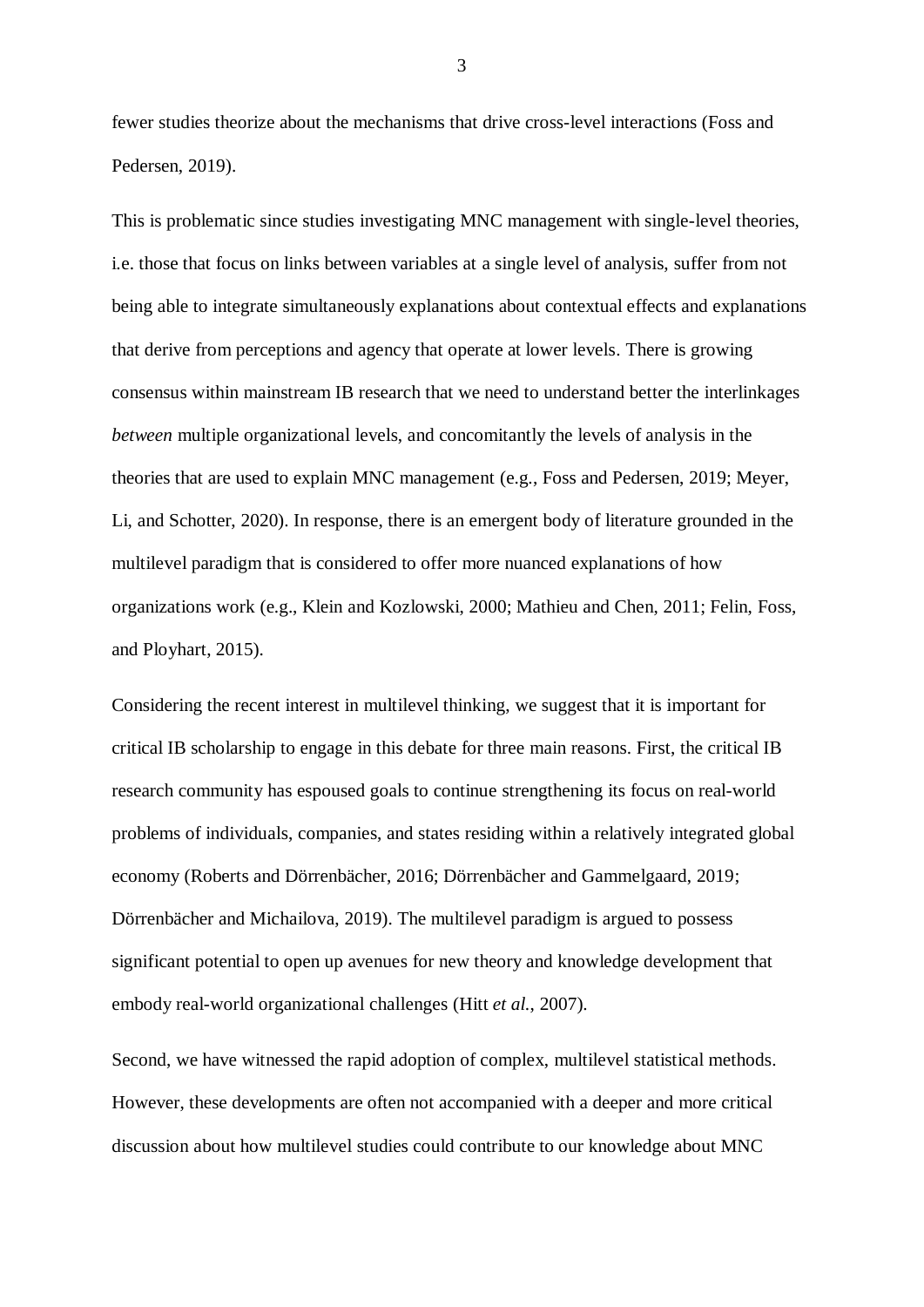fewer studies theorize about the mechanisms that drive cross-level interactions (Foss and Pedersen, 2019).

This is problematic since studies investigating MNC management with single-level theories, i.e. those that focus on links between variables at a single level of analysis, suffer from not being able to integrate simultaneously explanations about contextual effects and explanations that derive from perceptions and agency that operate at lower levels. There is growing consensus within mainstream IB research that we need to understand better the interlinkages *between* multiple organizational levels, and concomitantly the levels of analysis in the theories that are used to explain MNC management (e.g., Foss and Pedersen, 2019; Meyer, Li, and Schotter, 2020). In response, there is an emergent body of literature grounded in the multilevel paradigm that is considered to offer more nuanced explanations of how organizations work (e.g., Klein and Kozlowski, 2000; Mathieu and Chen, 2011; Felin, Foss, and Ployhart, 2015).

Considering the recent interest in multilevel thinking, we suggest that it is important for critical IB scholarship to engage in this debate for three main reasons. First, the critical IB research community has espoused goals to continue strengthening its focus on real-world problems of individuals, companies, and states residing within a relatively integrated global economy (Roberts and Dörrenbächer, 2016; Dörrenbächer and Gammelgaard, 2019; Dörrenbächer and Michailova, 2019). The multilevel paradigm is argued to possess significant potential to open up avenues for new theory and knowledge development that embody real-world organizational challenges (Hitt *et al.*, 2007).

Second, we have witnessed the rapid adoption of complex, multilevel statistical methods. However, these developments are often not accompanied with a deeper and more critical discussion about how multilevel studies could contribute to our knowledge about MNC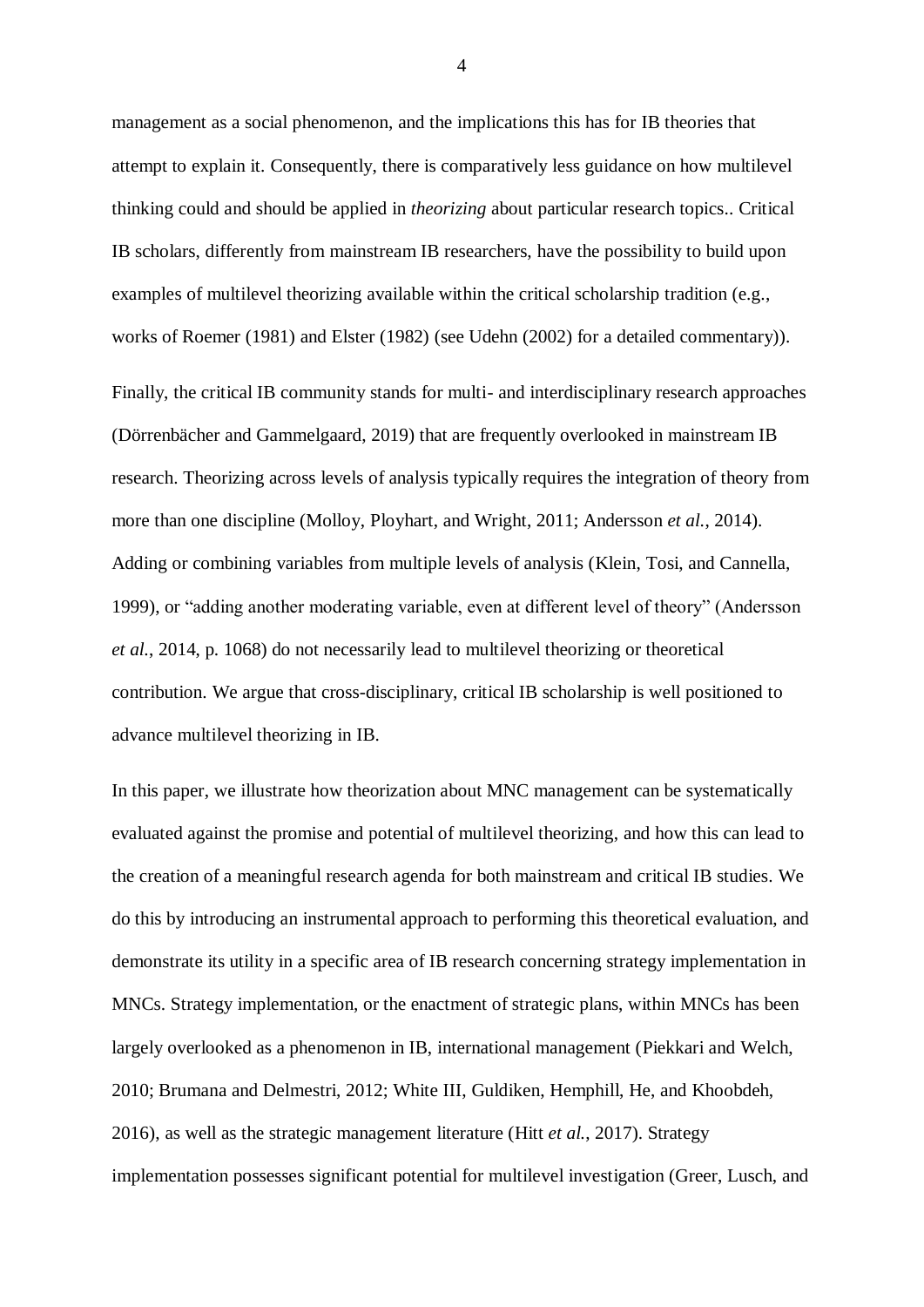management as a social phenomenon, and the implications this has for IB theories that attempt to explain it. Consequently, there is comparatively less guidance on how multilevel thinking could and should be applied in *theorizing* about particular research topics.. Critical IB scholars, differently from mainstream IB researchers, have the possibility to build upon examples of multilevel theorizing available within the critical scholarship tradition (e.g., works of Roemer (1981) and Elster (1982) (see Udehn (2002) for a detailed commentary)).

Finally, the critical IB community stands for multi- and interdisciplinary research approaches (Dörrenbächer and Gammelgaard, 2019) that are frequently overlooked in mainstream IB research. Theorizing across levels of analysis typically requires the integration of theory from more than one discipline (Molloy, Ployhart, and Wright, 2011; Andersson *et al.*, 2014). Adding or combining variables from multiple levels of analysis (Klein, Tosi, and Cannella, 1999), or "adding another moderating variable, even at different level of theory" (Andersson *et al.*, 2014, p. 1068) do not necessarily lead to multilevel theorizing or theoretical contribution. We argue that cross-disciplinary, critical IB scholarship is well positioned to advance multilevel theorizing in IB.

In this paper, we illustrate how theorization about MNC management can be systematically evaluated against the promise and potential of multilevel theorizing, and how this can lead to the creation of a meaningful research agenda for both mainstream and critical IB studies. We do this by introducing an instrumental approach to performing this theoretical evaluation, and demonstrate its utility in a specific area of IB research concerning strategy implementation in MNCs. Strategy implementation, or the enactment of strategic plans, within MNCs has been largely overlooked as a phenomenon in IB, international management (Piekkari and Welch, 2010; Brumana and Delmestri, 2012; White III, Guldiken, Hemphill, He, and Khoobdeh, 2016), as well as the strategic management literature (Hitt *et al.*, 2017). Strategy implementation possesses significant potential for multilevel investigation (Greer, Lusch, and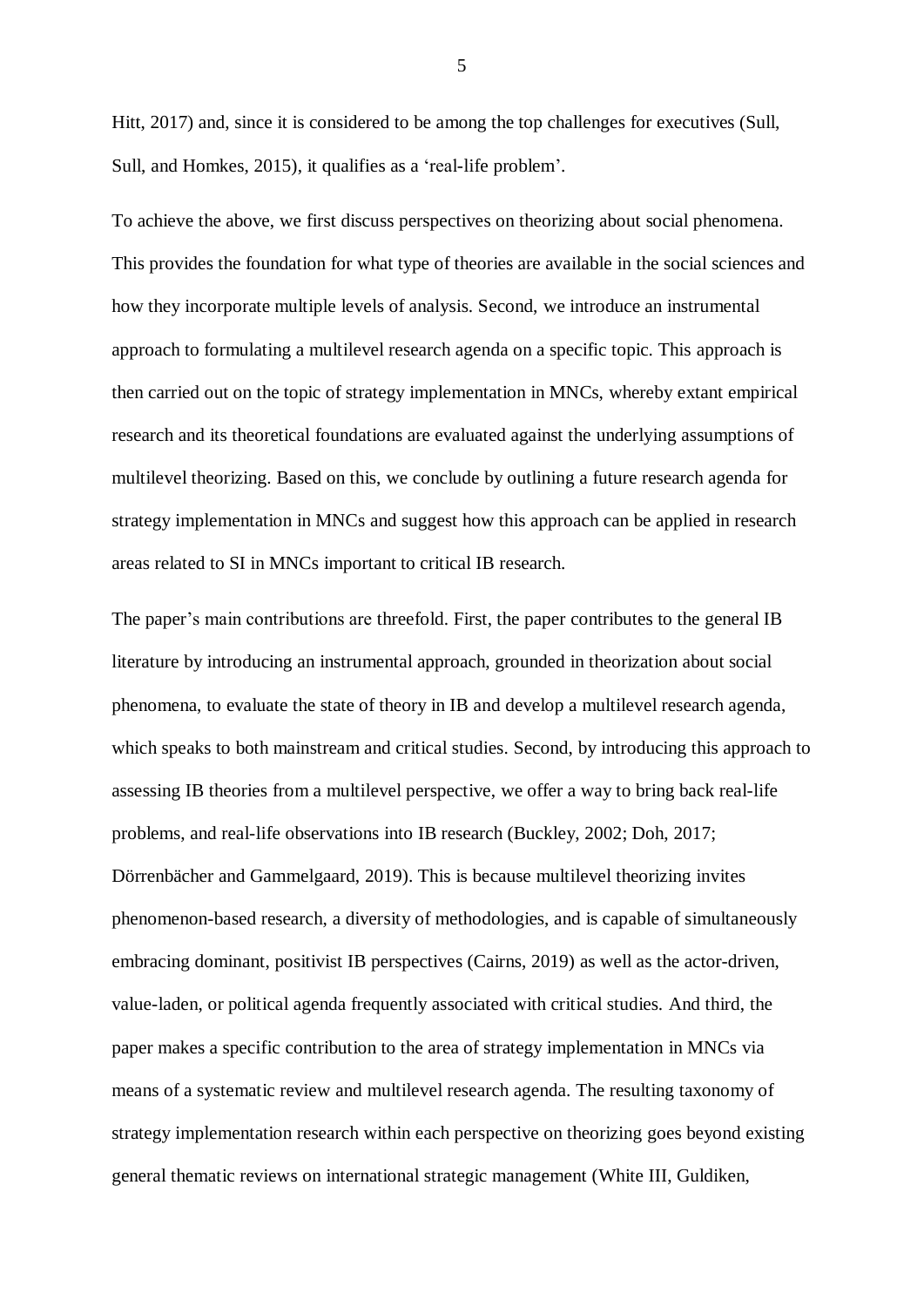Hitt, 2017) and, since it is considered to be among the top challenges for executives (Sull, Sull, and Homkes, 2015), it qualifies as a 'real-life problem'.

To achieve the above, we first discuss perspectives on theorizing about social phenomena. This provides the foundation for what type of theories are available in the social sciences and how they incorporate multiple levels of analysis. Second, we introduce an instrumental approach to formulating a multilevel research agenda on a specific topic. This approach is then carried out on the topic of strategy implementation in MNCs, whereby extant empirical research and its theoretical foundations are evaluated against the underlying assumptions of multilevel theorizing. Based on this, we conclude by outlining a future research agenda for strategy implementation in MNCs and suggest how this approach can be applied in research areas related to SI in MNCs important to critical IB research.

The paper's main contributions are threefold. First, the paper contributes to the general IB literature by introducing an instrumental approach, grounded in theorization about social phenomena, to evaluate the state of theory in IB and develop a multilevel research agenda, which speaks to both mainstream and critical studies. Second, by introducing this approach to assessing IB theories from a multilevel perspective, we offer a way to bring back real-life problems, and real-life observations into IB research (Buckley, 2002; Doh, 2017; Dörrenbächer and Gammelgaard, 2019). This is because multilevel theorizing invites phenomenon-based research, a diversity of methodologies, and is capable of simultaneously embracing dominant, positivist IB perspectives (Cairns, 2019) as well as the actor-driven, value-laden, or political agenda frequently associated with critical studies. And third, the paper makes a specific contribution to the area of strategy implementation in MNCs via means of a systematic review and multilevel research agenda. The resulting taxonomy of strategy implementation research within each perspective on theorizing goes beyond existing general thematic reviews on international strategic management (White III, Guldiken,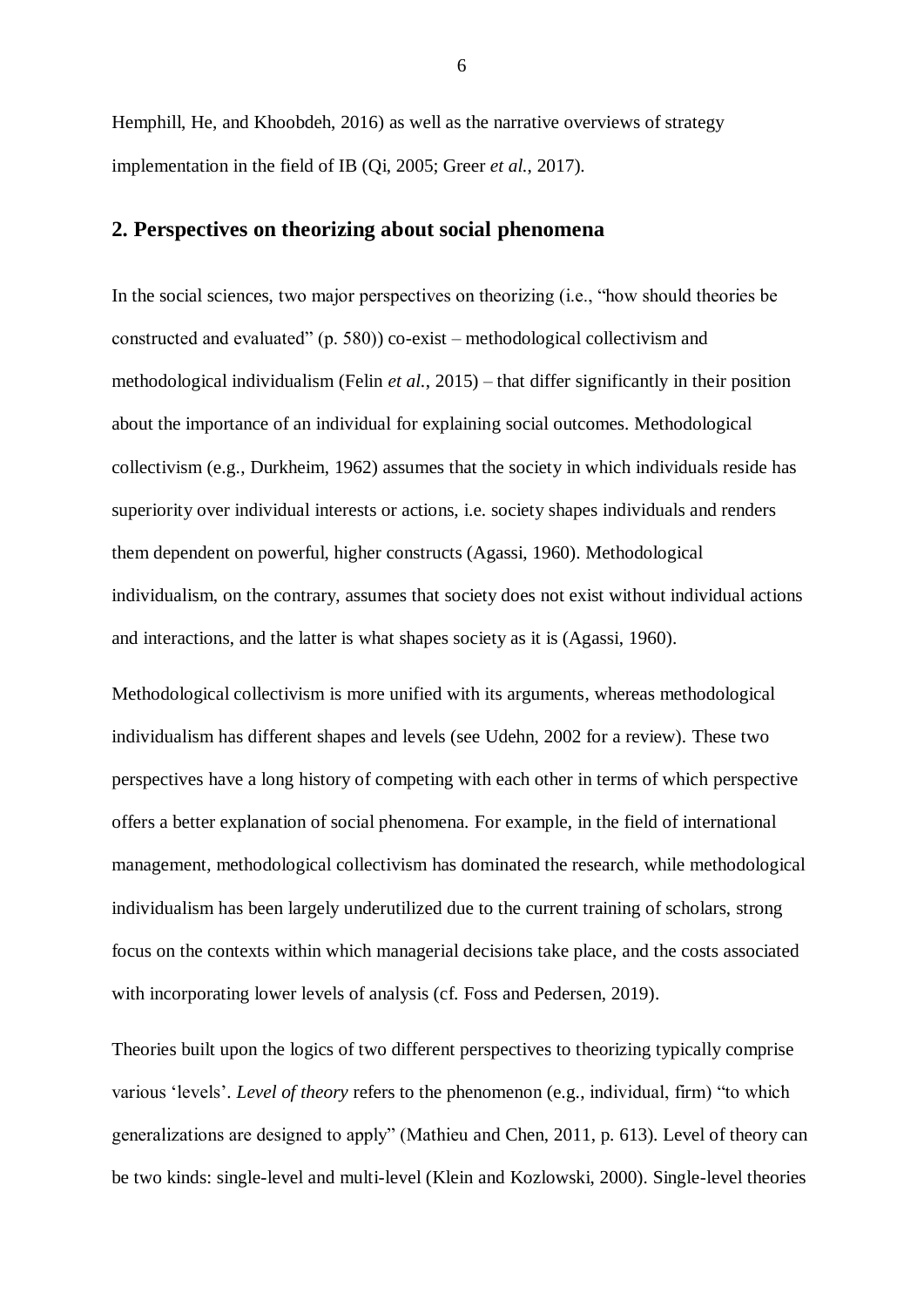Hemphill, He, and Khoobdeh, 2016) as well as the narrative overviews of strategy implementation in the field of IB (Qi, 2005; Greer *et al.*, 2017).

## **2. Perspectives on theorizing about social phenomena**

In the social sciences, two major perspectives on theorizing (i.e., "how should theories be constructed and evaluated" (p. 580)) co-exist – methodological collectivism and methodological individualism (Felin *et al.*, 2015) – that differ significantly in their position about the importance of an individual for explaining social outcomes. Methodological collectivism (e.g., Durkheim, 1962) assumes that the society in which individuals reside has superiority over individual interests or actions, i.e. society shapes individuals and renders them dependent on powerful, higher constructs (Agassi, 1960). Methodological individualism, on the contrary, assumes that society does not exist without individual actions and interactions, and the latter is what shapes society as it is (Agassi, 1960).

Methodological collectivism is more unified with its arguments, whereas methodological individualism has different shapes and levels (see Udehn, 2002 for a review). These two perspectives have a long history of competing with each other in terms of which perspective offers a better explanation of social phenomena. For example, in the field of international management, methodological collectivism has dominated the research, while methodological individualism has been largely underutilized due to the current training of scholars, strong focus on the contexts within which managerial decisions take place, and the costs associated with incorporating lower levels of analysis (cf. Foss and Pedersen, 2019).

Theories built upon the logics of two different perspectives to theorizing typically comprise various 'levels'. *Level of theory* refers to the phenomenon (e.g., individual, firm) "to which generalizations are designed to apply" (Mathieu and Chen, 2011, p. 613). Level of theory can be two kinds: single-level and multi-level (Klein and Kozlowski, 2000). Single-level theories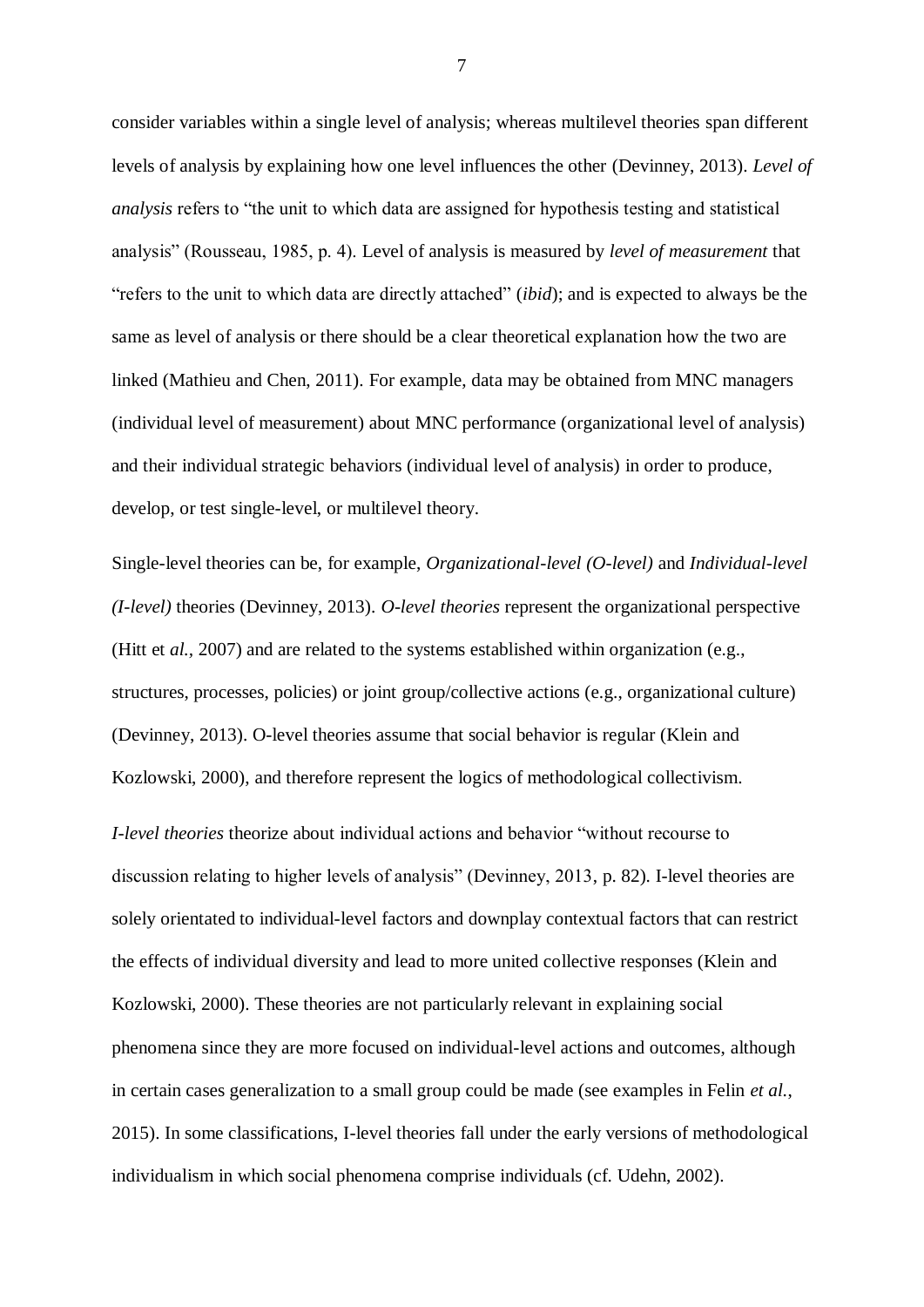consider variables within a single level of analysis; whereas multilevel theories span different levels of analysis by explaining how one level influences the other (Devinney, 2013). *Level of analysis* refers to "the unit to which data are assigned for hypothesis testing and statistical analysis" (Rousseau, 1985, p. 4). Level of analysis is measured by *level of measurement* that "refers to the unit to which data are directly attached" (*ibid*); and is expected to always be the same as level of analysis or there should be a clear theoretical explanation how the two are linked (Mathieu and Chen, 2011). For example, data may be obtained from MNC managers (individual level of measurement) about MNC performance (organizational level of analysis) and their individual strategic behaviors (individual level of analysis) in order to produce, develop, or test single-level, or multilevel theory.

Single-level theories can be, for example, *Organizational-level (O-level)* and *Individual-level (I-level)* theories (Devinney, 2013). *O-level theories* represent the organizational perspective (Hitt et *al.,* 2007) and are related to the systems established within organization (e.g., structures, processes, policies) or joint group/collective actions (e.g., organizational culture) (Devinney, 2013). O-level theories assume that social behavior is regular (Klein and Kozlowski, 2000), and therefore represent the logics of methodological collectivism.

*I-level theories* theorize about individual actions and behavior "without recourse to discussion relating to higher levels of analysis" (Devinney, 2013, p. 82). I-level theories are solely orientated to individual-level factors and downplay contextual factors that can restrict the effects of individual diversity and lead to more united collective responses (Klein and Kozlowski, 2000). These theories are not particularly relevant in explaining social phenomena since they are more focused on individual-level actions and outcomes, although in certain cases generalization to a small group could be made (see examples in Felin *et al.*, 2015). In some classifications, I-level theories fall under the early versions of methodological individualism in which social phenomena comprise individuals (cf. Udehn, 2002).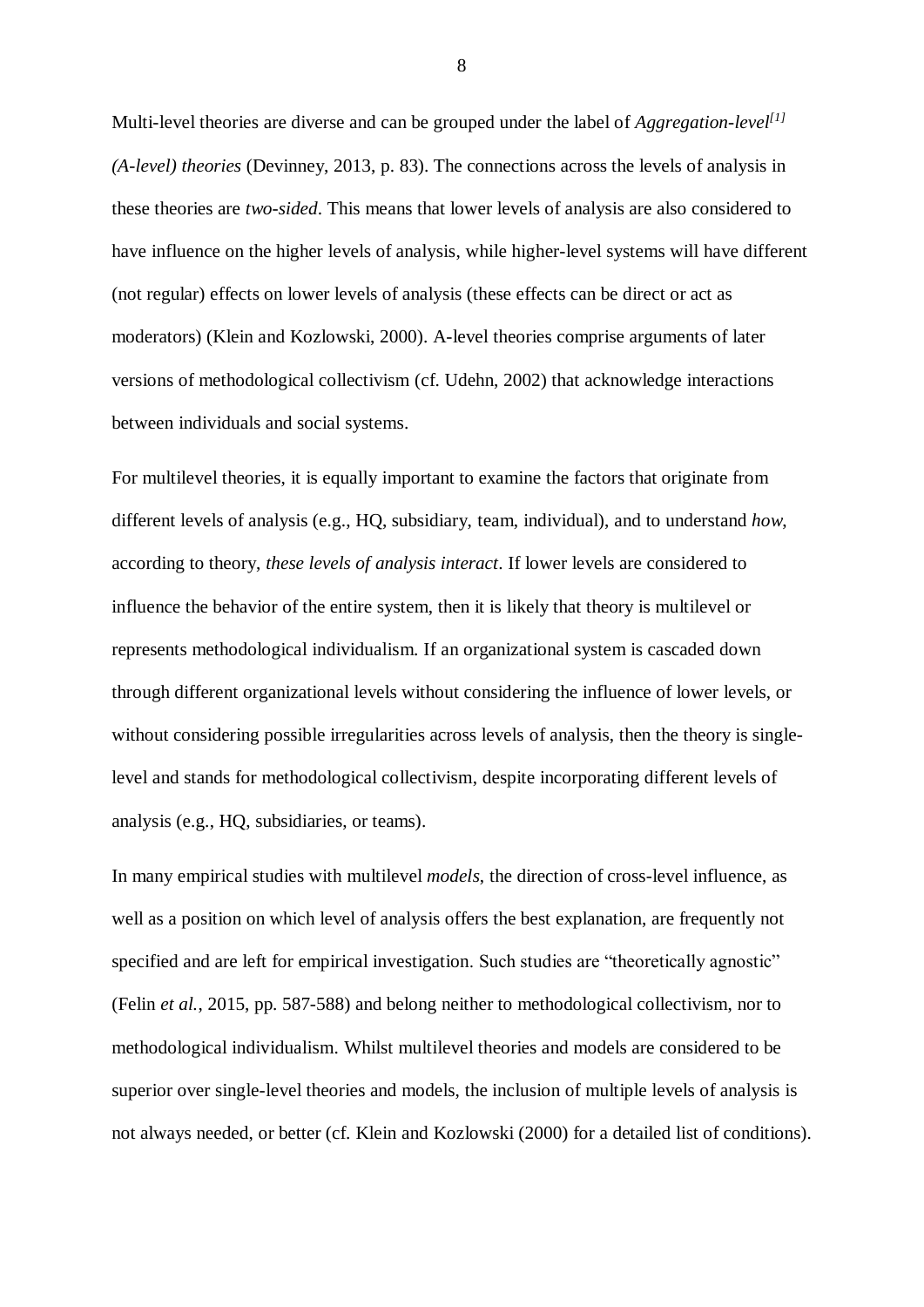Multi-level theories are diverse and can be grouped under the label of *Aggregation-level [1] (A-level) theories* (Devinney, 2013, p. 83). The connections across the levels of analysis in these theories are *two-sided*. This means that lower levels of analysis are also considered to have influence on the higher levels of analysis, while higher-level systems will have different (not regular) effects on lower levels of analysis (these effects can be direct or act as moderators) (Klein and Kozlowski, 2000). A-level theories comprise arguments of later versions of methodological collectivism (cf. Udehn, 2002) that acknowledge interactions between individuals and social systems.

For multilevel theories, it is equally important to examine the factors that originate from different levels of analysis (e.g., HQ, subsidiary, team, individual), and to understand *how*, according to theory, *these levels of analysis interact*. If lower levels are considered to influence the behavior of the entire system, then it is likely that theory is multilevel or represents methodological individualism. If an organizational system is cascaded down through different organizational levels without considering the influence of lower levels, or without considering possible irregularities across levels of analysis, then the theory is singlelevel and stands for methodological collectivism, despite incorporating different levels of analysis (e.g., HQ, subsidiaries, or teams).

In many empirical studies with multilevel *models*, the direction of cross-level influence, as well as a position on which level of analysis offers the best explanation, are frequently not specified and are left for empirical investigation. Such studies are "theoretically agnostic" (Felin *et al.*, 2015, pp. 587-588) and belong neither to methodological collectivism, nor to methodological individualism. Whilst multilevel theories and models are considered to be superior over single-level theories and models, the inclusion of multiple levels of analysis is not always needed, or better (cf. Klein and Kozlowski (2000) for a detailed list of conditions).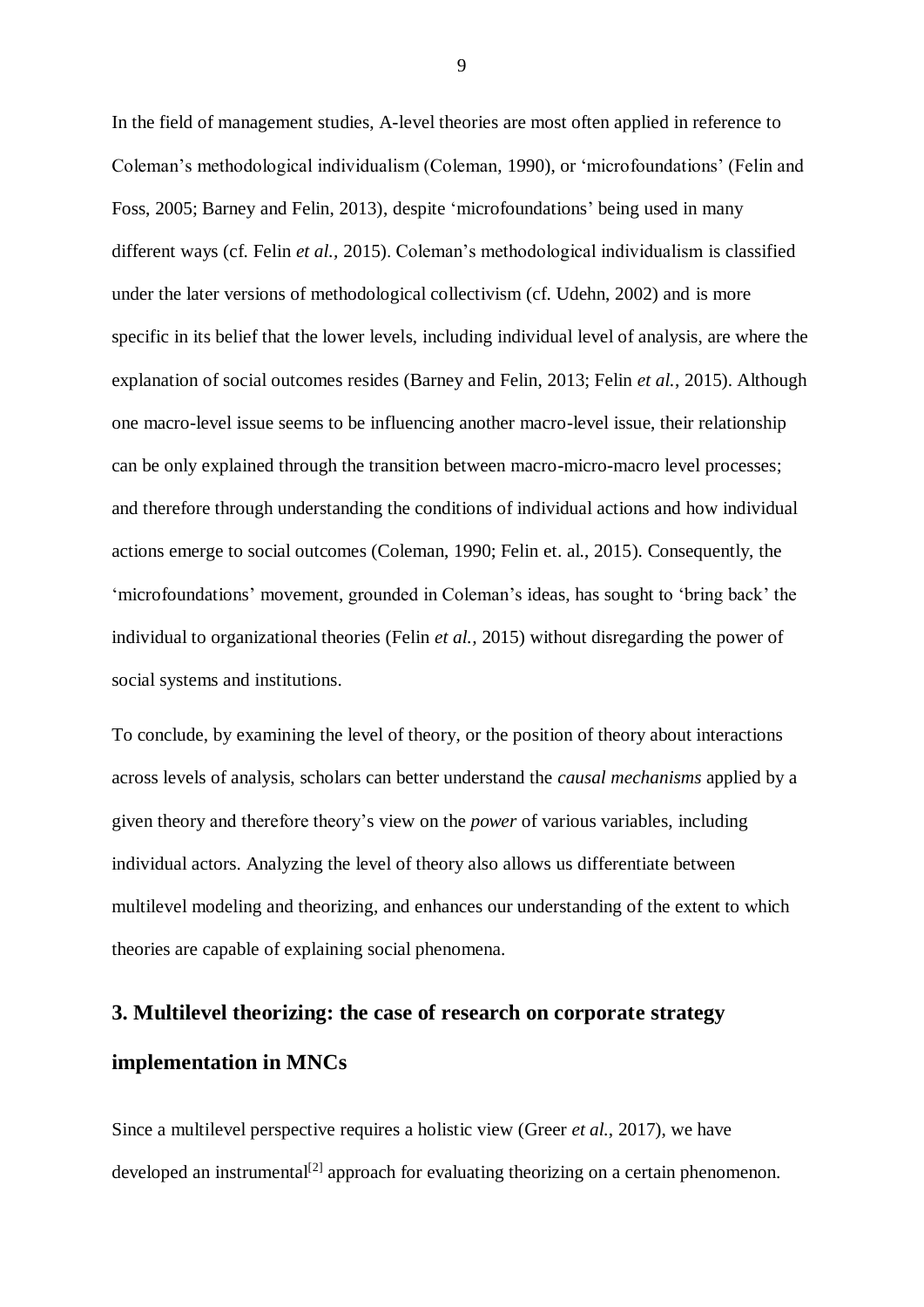In the field of management studies, A-level theories are most often applied in reference to Coleman's methodological individualism (Coleman, 1990), or 'microfoundations' (Felin and Foss, 2005; Barney and Felin, 2013), despite 'microfoundations' being used in many different ways (cf. Felin *et al.,* 2015). Coleman's methodological individualism is classified under the later versions of methodological collectivism (cf. Udehn, 2002) and is more specific in its belief that the lower levels, including individual level of analysis, are where the explanation of social outcomes resides (Barney and Felin, 2013; Felin *et al.*, 2015). Although one macro-level issue seems to be influencing another macro-level issue, their relationship can be only explained through the transition between macro-micro-macro level processes; and therefore through understanding the conditions of individual actions and how individual actions emerge to social outcomes (Coleman, 1990; Felin et. al., 2015). Consequently, the 'microfoundations' movement, grounded in Coleman's ideas, has sought to 'bring back' the individual to organizational theories (Felin *et al.,* 2015) without disregarding the power of social systems and institutions.

To conclude, by examining the level of theory, or the position of theory about interactions across levels of analysis, scholars can better understand the *causal mechanisms* applied by a given theory and therefore theory's view on the *power* of various variables, including individual actors. Analyzing the level of theory also allows us differentiate between multilevel modeling and theorizing, and enhances our understanding of the extent to which theories are capable of explaining social phenomena.

# **3. Multilevel theorizing: the case of research on corporate strategy implementation in MNCs**

Since a multilevel perspective requires a holistic view (Greer *et al.*, 2017), we have developed an instrumental<sup>[2]</sup> approach for evaluating theorizing on a certain phenomenon.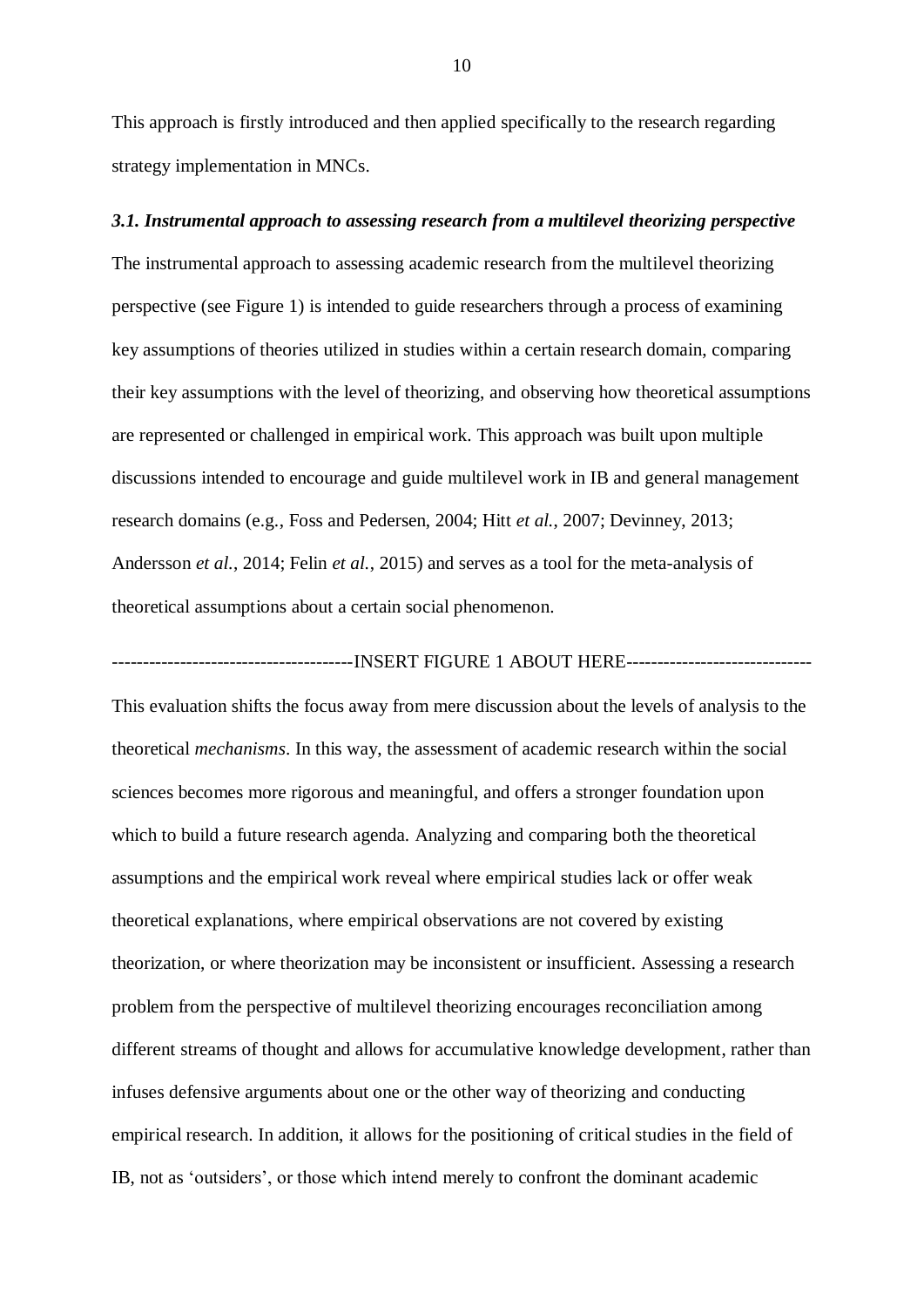This approach is firstly introduced and then applied specifically to the research regarding strategy implementation in MNCs.

#### *3.1. Instrumental approach to assessing research from a multilevel theorizing perspective*

The instrumental approach to assessing academic research from the multilevel theorizing perspective (see Figure 1) is intended to guide researchers through a process of examining key assumptions of theories utilized in studies within a certain research domain, comparing their key assumptions with the level of theorizing, and observing how theoretical assumptions are represented or challenged in empirical work. This approach was built upon multiple discussions intended to encourage and guide multilevel work in IB and general management research domains (e.g., Foss and Pedersen, 2004; Hitt *et al.*, 2007; Devinney, 2013; Andersson *et al.*, 2014; Felin *et al.*, 2015) and serves as a tool for the meta-analysis of theoretical assumptions about a certain social phenomenon.

-----------------------INSERT FIGURE 1 ABOUT HERE-------------------------------

This evaluation shifts the focus away from mere discussion about the levels of analysis to the theoretical *mechanisms*. In this way, the assessment of academic research within the social sciences becomes more rigorous and meaningful, and offers a stronger foundation upon which to build a future research agenda. Analyzing and comparing both the theoretical assumptions and the empirical work reveal where empirical studies lack or offer weak theoretical explanations, where empirical observations are not covered by existing theorization, or where theorization may be inconsistent or insufficient. Assessing a research problem from the perspective of multilevel theorizing encourages reconciliation among different streams of thought and allows for accumulative knowledge development, rather than infuses defensive arguments about one or the other way of theorizing and conducting empirical research. In addition, it allows for the positioning of critical studies in the field of IB, not as 'outsiders', or those which intend merely to confront the dominant academic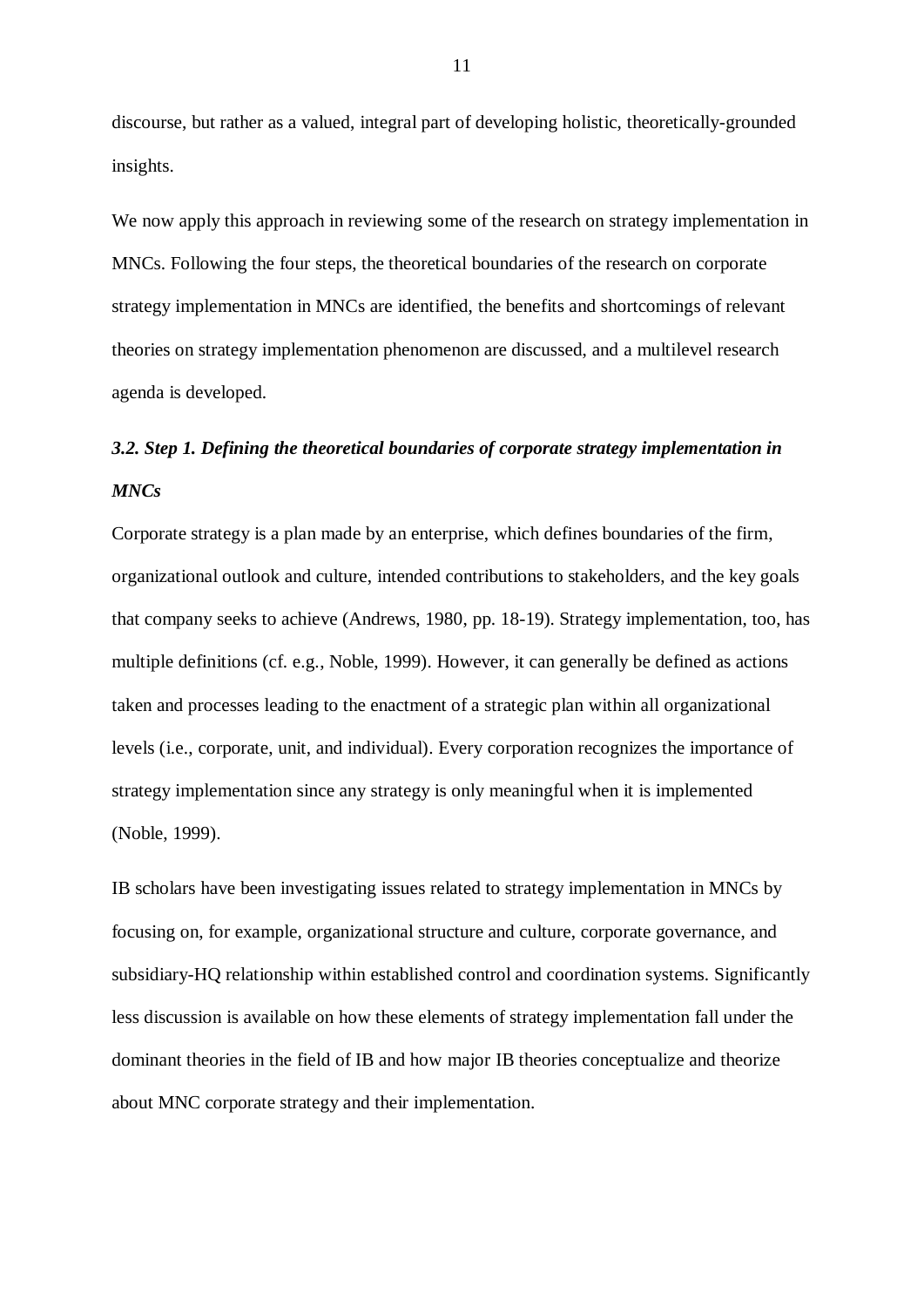discourse, but rather as a valued, integral part of developing holistic, theoretically-grounded insights.

We now apply this approach in reviewing some of the research on strategy implementation in MNCs. Following the four steps, the theoretical boundaries of the research on corporate strategy implementation in MNCs are identified, the benefits and shortcomings of relevant theories on strategy implementation phenomenon are discussed, and a multilevel research agenda is developed.

## *3.2. Step 1. Defining the theoretical boundaries of corporate strategy implementation in MNCs*

Corporate strategy is a plan made by an enterprise, which defines boundaries of the firm, organizational outlook and culture, intended contributions to stakeholders, and the key goals that company seeks to achieve (Andrews, 1980, pp. 18-19). Strategy implementation, too, has multiple definitions (cf. e.g., Noble, 1999). However, it can generally be defined as actions taken and processes leading to the enactment of a strategic plan within all organizational levels (i.e., corporate, unit, and individual). Every corporation recognizes the importance of strategy implementation since any strategy is only meaningful when it is implemented (Noble, 1999).

IB scholars have been investigating issues related to strategy implementation in MNCs by focusing on, for example, organizational structure and culture, corporate governance, and subsidiary-HQ relationship within established control and coordination systems. Significantly less discussion is available on how these elements of strategy implementation fall under the dominant theories in the field of IB and how major IB theories conceptualize and theorize about MNC corporate strategy and their implementation.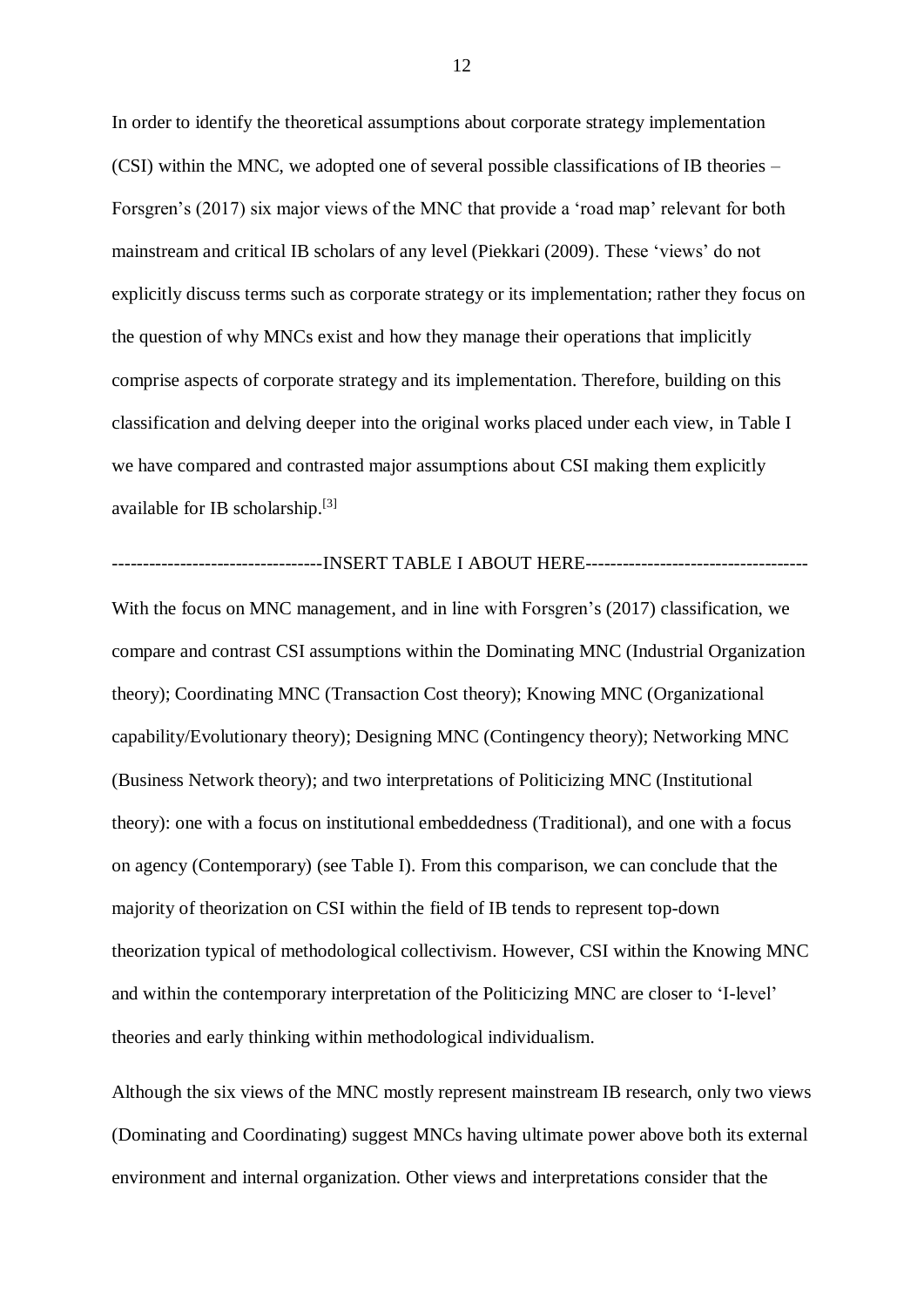In order to identify the theoretical assumptions about corporate strategy implementation (CSI) within the MNC, we adopted one of several possible classifications of IB theories – Forsgren's (2017) six major views of the MNC that provide a 'road map' relevant for both mainstream and critical IB scholars of any level (Piekkari (2009). These 'views' do not explicitly discuss terms such as corporate strategy or its implementation; rather they focus on the question of why MNCs exist and how they manage their operations that implicitly comprise aspects of corporate strategy and its implementation. Therefore, building on this classification and delving deeper into the original works placed under each view, in Table I we have compared and contrasted major assumptions about CSI making them explicitly available for IB scholarship.<sup>[3]</sup>

#### ----------------------INSERT TABLE I ABOUT HERE---------------------------------

With the focus on MNC management, and in line with Forsgren's (2017) classification, we compare and contrast CSI assumptions within the Dominating MNC (Industrial Organization theory); Coordinating MNC (Transaction Cost theory); Knowing MNC (Organizational capability/Evolutionary theory); Designing MNC (Contingency theory); Networking MNC (Business Network theory); and two interpretations of Politicizing MNC (Institutional theory): one with a focus on institutional embeddedness (Traditional), and one with a focus on agency (Contemporary) (see Table I). From this comparison, we can conclude that the majority of theorization on CSI within the field of IB tends to represent top-down theorization typical of methodological collectivism. However, CSI within the Knowing MNC and within the contemporary interpretation of the Politicizing MNC are closer to 'I-level' theories and early thinking within methodological individualism.

Although the six views of the MNC mostly represent mainstream IB research, only two views (Dominating and Coordinating) suggest MNCs having ultimate power above both its external environment and internal organization. Other views and interpretations consider that the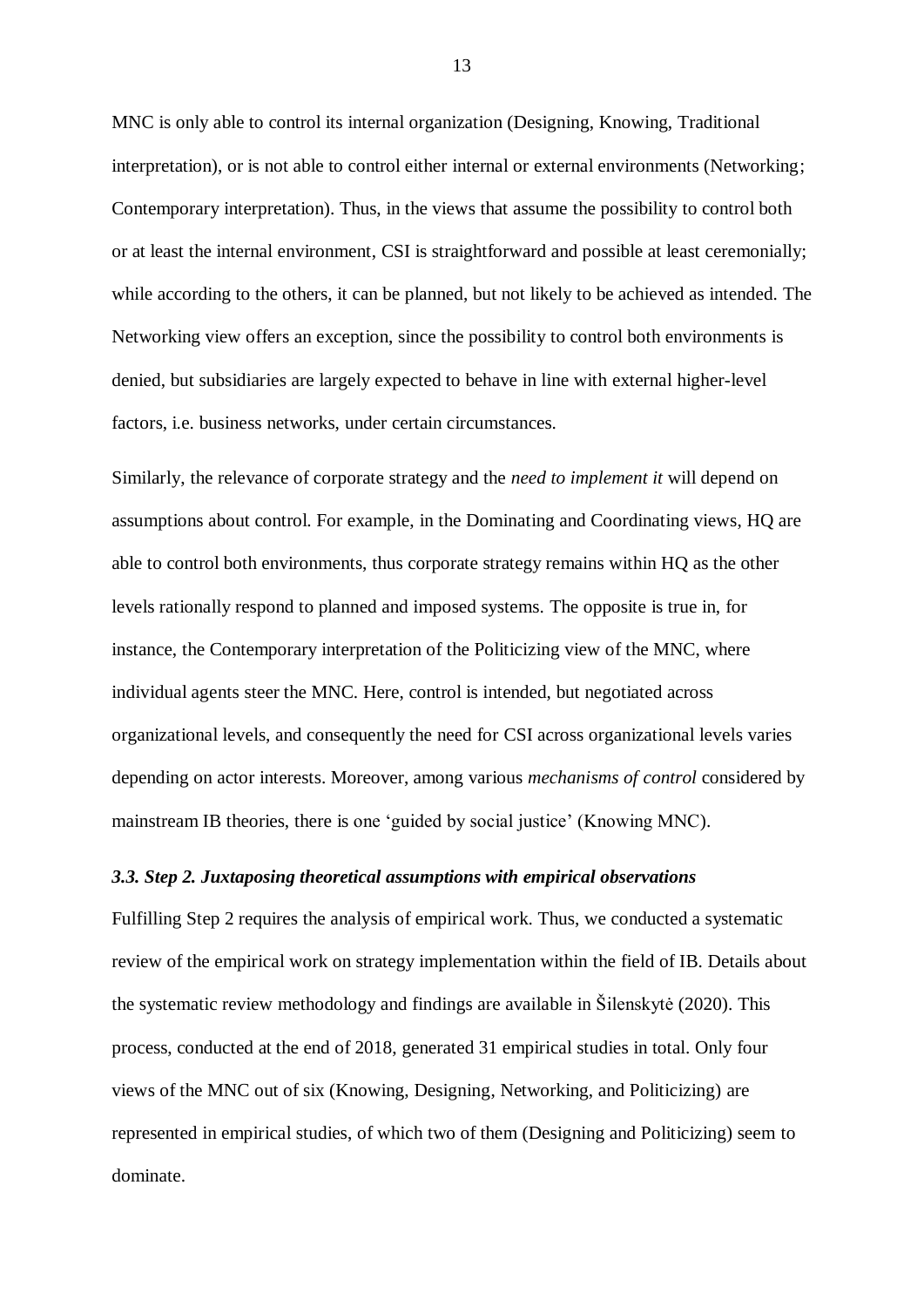MNC is only able to control its internal organization (Designing, Knowing, Traditional interpretation), or is not able to control either internal or external environments (Networking; Contemporary interpretation). Thus, in the views that assume the possibility to control both or at least the internal environment, CSI is straightforward and possible at least ceremonially; while according to the others, it can be planned, but not likely to be achieved as intended. The Networking view offers an exception, since the possibility to control both environments is denied, but subsidiaries are largely expected to behave in line with external higher-level factors, i.e. business networks, under certain circumstances.

Similarly, the relevance of corporate strategy and the *need to implement it* will depend on assumptions about control. For example, in the Dominating and Coordinating views, HQ are able to control both environments, thus corporate strategy remains within HQ as the other levels rationally respond to planned and imposed systems. The opposite is true in, for instance, the Contemporary interpretation of the Politicizing view of the MNC, where individual agents steer the MNC. Here, control is intended, but negotiated across organizational levels, and consequently the need for CSI across organizational levels varies depending on actor interests. Moreover, among various *mechanisms of control* considered by mainstream IB theories, there is one 'guided by social justice' (Knowing MNC).

#### *3.3. Step 2. Juxtaposing theoretical assumptions with empirical observations*

Fulfilling Step 2 requires the analysis of empirical work. Thus, we conducted a systematic review of the empirical work on strategy implementation within the field of IB. Details about the systematic review methodology and findings are available in Šilenskytė (2020). This process, conducted at the end of 2018, generated 31 empirical studies in total. Only four views of the MNC out of six (Knowing, Designing, Networking, and Politicizing) are represented in empirical studies, of which two of them (Designing and Politicizing) seem to dominate.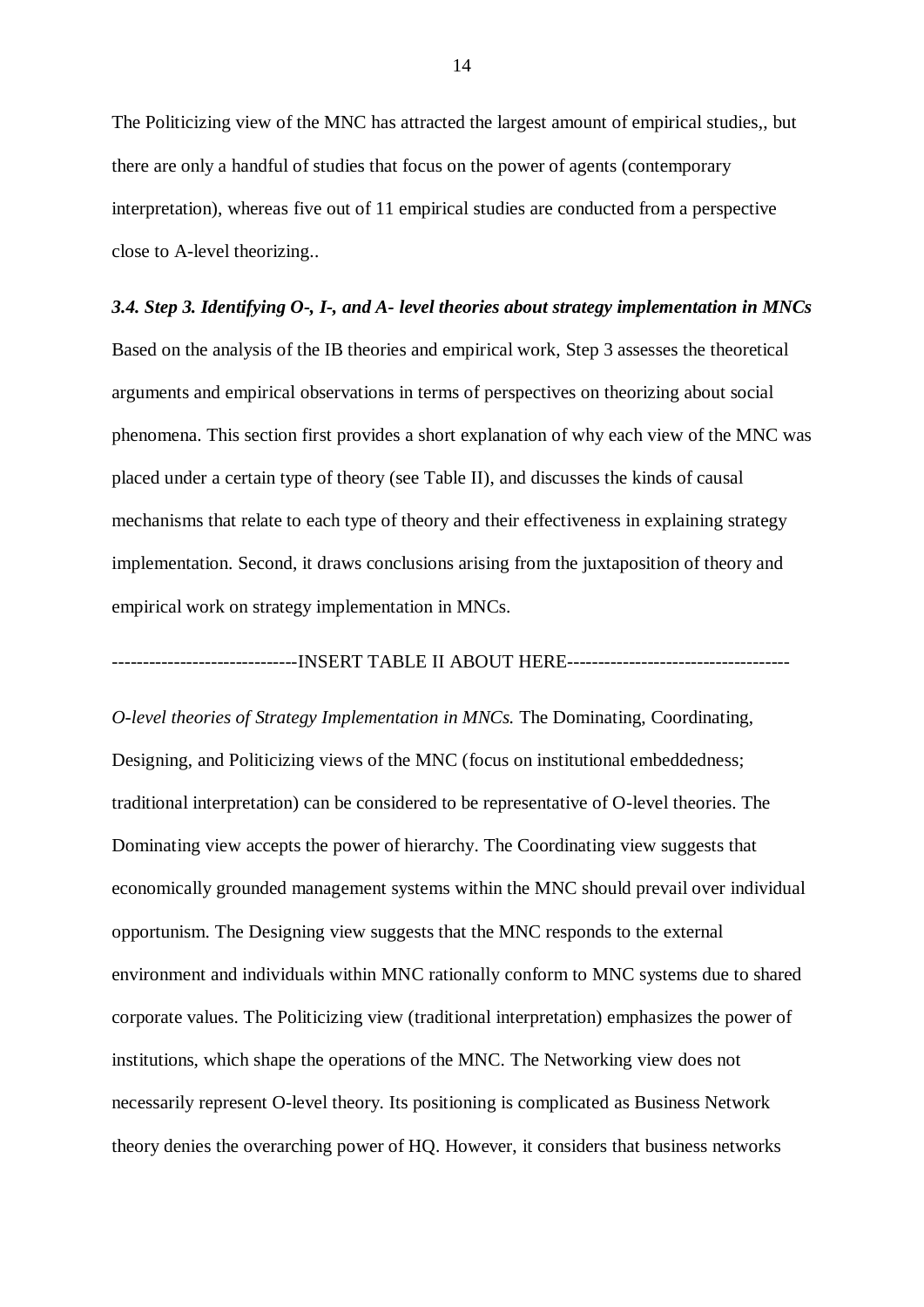The Politicizing view of the MNC has attracted the largest amount of empirical studies,, but there are only a handful of studies that focus on the power of agents (contemporary interpretation), whereas five out of 11 empirical studies are conducted from a perspective close to A-level theorizing..

## *3.4. Step 3. Identifying O-, I-, and A- level theories about strategy implementation in MNCs*

Based on the analysis of the IB theories and empirical work, Step 3 assesses the theoretical arguments and empirical observations in terms of perspectives on theorizing about social phenomena. This section first provides a short explanation of why each view of the MNC was placed under a certain type of theory (see Table II), and discusses the kinds of causal mechanisms that relate to each type of theory and their effectiveness in explaining strategy implementation. Second, it draws conclusions arising from the juxtaposition of theory and empirical work on strategy implementation in MNCs.

### ------------------------------INSERT TABLE II ABOUT HERE------------------------------------

*O-level theories of Strategy Implementation in MNCs.* The Dominating, Coordinating, Designing, and Politicizing views of the MNC (focus on institutional embeddedness; traditional interpretation) can be considered to be representative of O-level theories. The Dominating view accepts the power of hierarchy. The Coordinating view suggests that economically grounded management systems within the MNC should prevail over individual opportunism. The Designing view suggests that the MNC responds to the external environment and individuals within MNC rationally conform to MNC systems due to shared corporate values. The Politicizing view (traditional interpretation) emphasizes the power of institutions, which shape the operations of the MNC. The Networking view does not necessarily represent O-level theory. Its positioning is complicated as Business Network theory denies the overarching power of HQ. However, it considers that business networks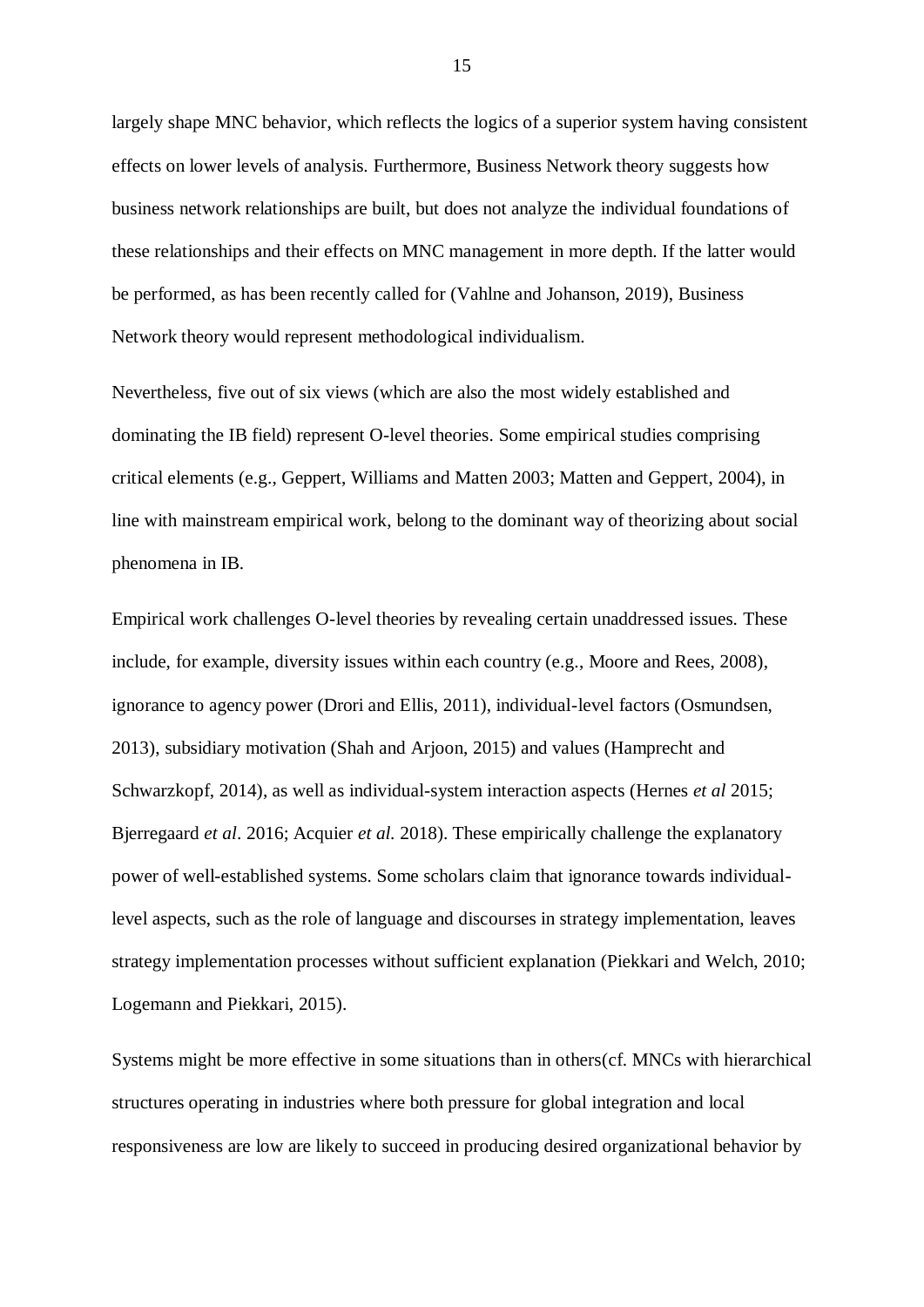largely shape MNC behavior, which reflects the logics of a superior system having consistent effects on lower levels of analysis. Furthermore, Business Network theory suggests how business network relationships are built, but does not analyze the individual foundations of these relationships and their effects on MNC management in more depth. If the latter would be performed, as has been recently called for (Vahlne and Johanson, 2019), Business Network theory would represent methodological individualism.

Nevertheless, five out of six views (which are also the most widely established and dominating the IB field) represent O-level theories. Some empirical studies comprising critical elements (e.g., Geppert, Williams and Matten 2003; Matten and Geppert, 2004), in line with mainstream empirical work, belong to the dominant way of theorizing about social phenomena in IB.

Empirical work challenges O-level theories by revealing certain unaddressed issues. These include, for example, diversity issues within each country (e.g., Moore and Rees, 2008), ignorance to agency power (Drori and Ellis, 2011), individual-level factors (Osmundsen, 2013), subsidiary motivation (Shah and Arjoon, 2015) and values (Hamprecht and Schwarzkopf, 2014), as well as individual-system interaction aspects (Hernes *et al* 2015; Bjerregaard *et al*. 2016; Acquier *et al.* 2018). These empirically challenge the explanatory power of well-established systems. Some scholars claim that ignorance towards individuallevel aspects, such as the role of language and discourses in strategy implementation, leaves strategy implementation processes without sufficient explanation (Piekkari and Welch, 2010; Logemann and Piekkari, 2015).

Systems might be more effective in some situations than in others(cf. MNCs with hierarchical structures operating in industries where both pressure for global integration and local responsiveness are low are likely to succeed in producing desired organizational behavior by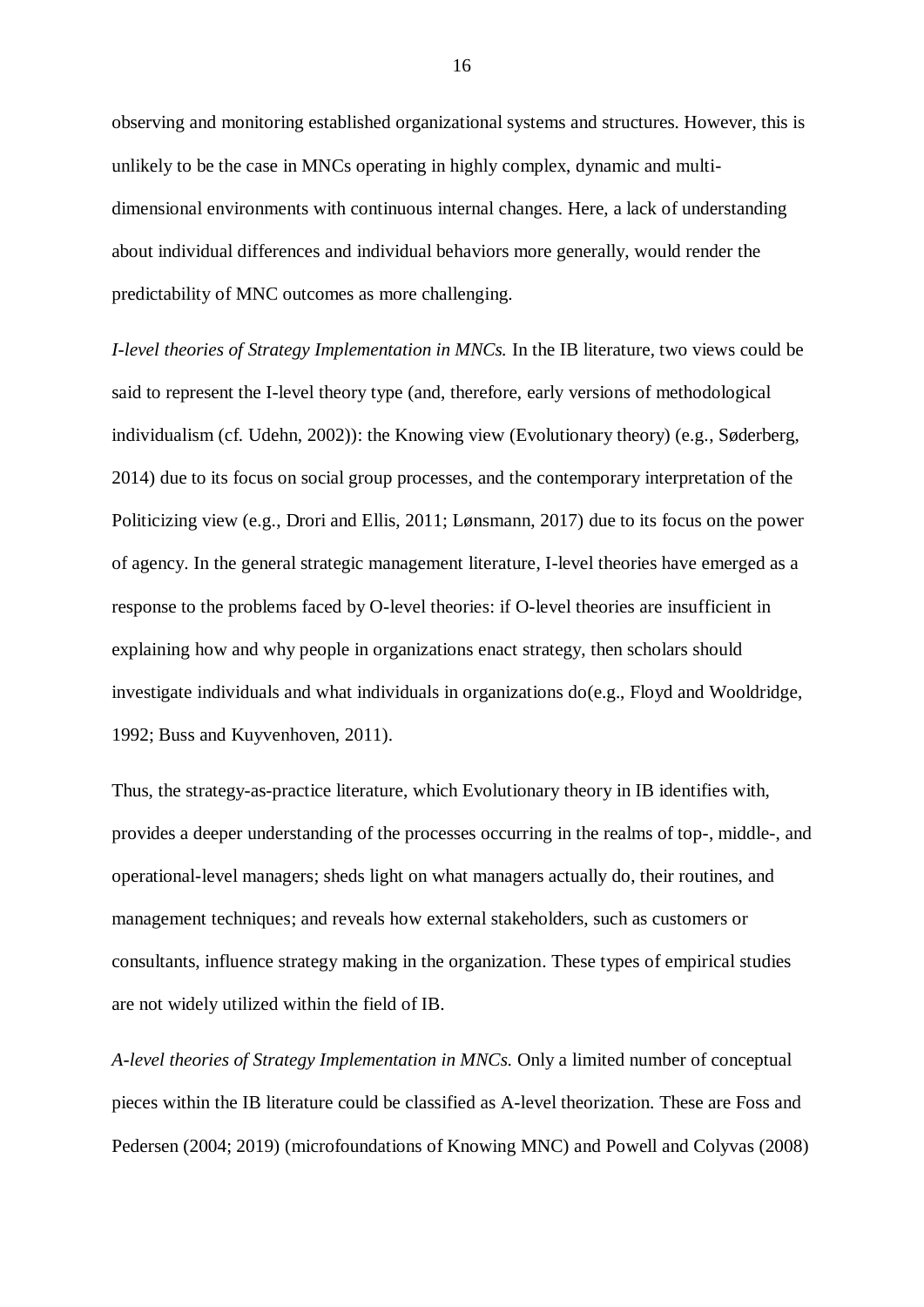observing and monitoring established organizational systems and structures. However, this is unlikely to be the case in MNCs operating in highly complex, dynamic and multidimensional environments with continuous internal changes. Here, a lack of understanding about individual differences and individual behaviors more generally, would render the predictability of MNC outcomes as more challenging.

*I-level theories of Strategy Implementation in MNCs.* In the IB literature, two views could be said to represent the I-level theory type (and, therefore, early versions of methodological individualism (cf. Udehn, 2002)): the Knowing view (Evolutionary theory) (e.g., Søderberg, 2014) due to its focus on social group processes, and the contemporary interpretation of the Politicizing view (e.g., Drori and Ellis, 2011; Lønsmann, 2017) due to its focus on the power of agency. In the general strategic management literature, I-level theories have emerged as a response to the problems faced by O-level theories: if O-level theories are insufficient in explaining how and why people in organizations enact strategy, then scholars should investigate individuals and what individuals in organizations do(e.g., Floyd and Wooldridge, 1992; Buss and Kuyvenhoven, 2011).

Thus, the strategy-as-practice literature, which Evolutionary theory in IB identifies with, provides a deeper understanding of the processes occurring in the realms of top-, middle-, and operational-level managers; sheds light on what managers actually do, their routines, and management techniques; and reveals how external stakeholders, such as customers or consultants, influence strategy making in the organization. These types of empirical studies are not widely utilized within the field of IB.

*A-level theories of Strategy Implementation in MNCs.* Only a limited number of conceptual pieces within the IB literature could be classified as A-level theorization. These are Foss and Pedersen (2004; 2019) (microfoundations of Knowing MNC) and Powell and Colyvas (2008)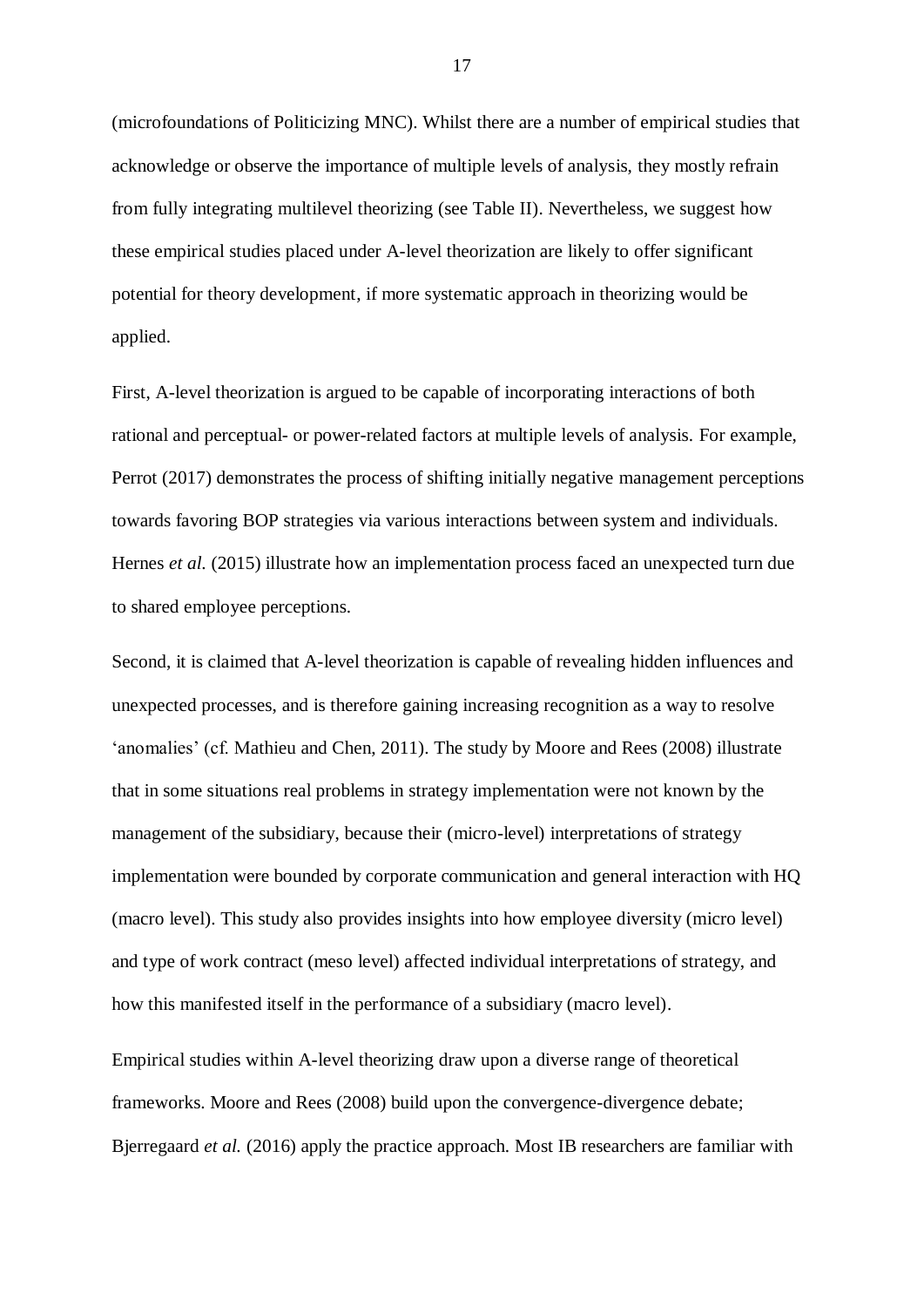(microfoundations of Politicizing MNC). Whilst there are a number of empirical studies that acknowledge or observe the importance of multiple levels of analysis, they mostly refrain from fully integrating multilevel theorizing (see Table II). Nevertheless, we suggest how these empirical studies placed under A-level theorization are likely to offer significant potential for theory development, if more systematic approach in theorizing would be applied.

First, A-level theorization is argued to be capable of incorporating interactions of both rational and perceptual- or power-related factors at multiple levels of analysis. For example, Perrot (2017) demonstrates the process of shifting initially negative management perceptions towards favoring BOP strategies via various interactions between system and individuals. Hernes *et al.* (2015) illustrate how an implementation process faced an unexpected turn due to shared employee perceptions.

Second, it is claimed that A-level theorization is capable of revealing hidden influences and unexpected processes, and is therefore gaining increasing recognition as a way to resolve 'anomalies' (cf. Mathieu and Chen, 2011). The study by Moore and Rees (2008) illustrate that in some situations real problems in strategy implementation were not known by the management of the subsidiary, because their (micro-level) interpretations of strategy implementation were bounded by corporate communication and general interaction with HQ (macro level). This study also provides insights into how employee diversity (micro level) and type of work contract (meso level) affected individual interpretations of strategy, and how this manifested itself in the performance of a subsidiary (macro level).

Empirical studies within A-level theorizing draw upon a diverse range of theoretical frameworks. Moore and Rees (2008) build upon the convergence-divergence debate; Bjerregaard *et al.* (2016) apply the practice approach. Most IB researchers are familiar with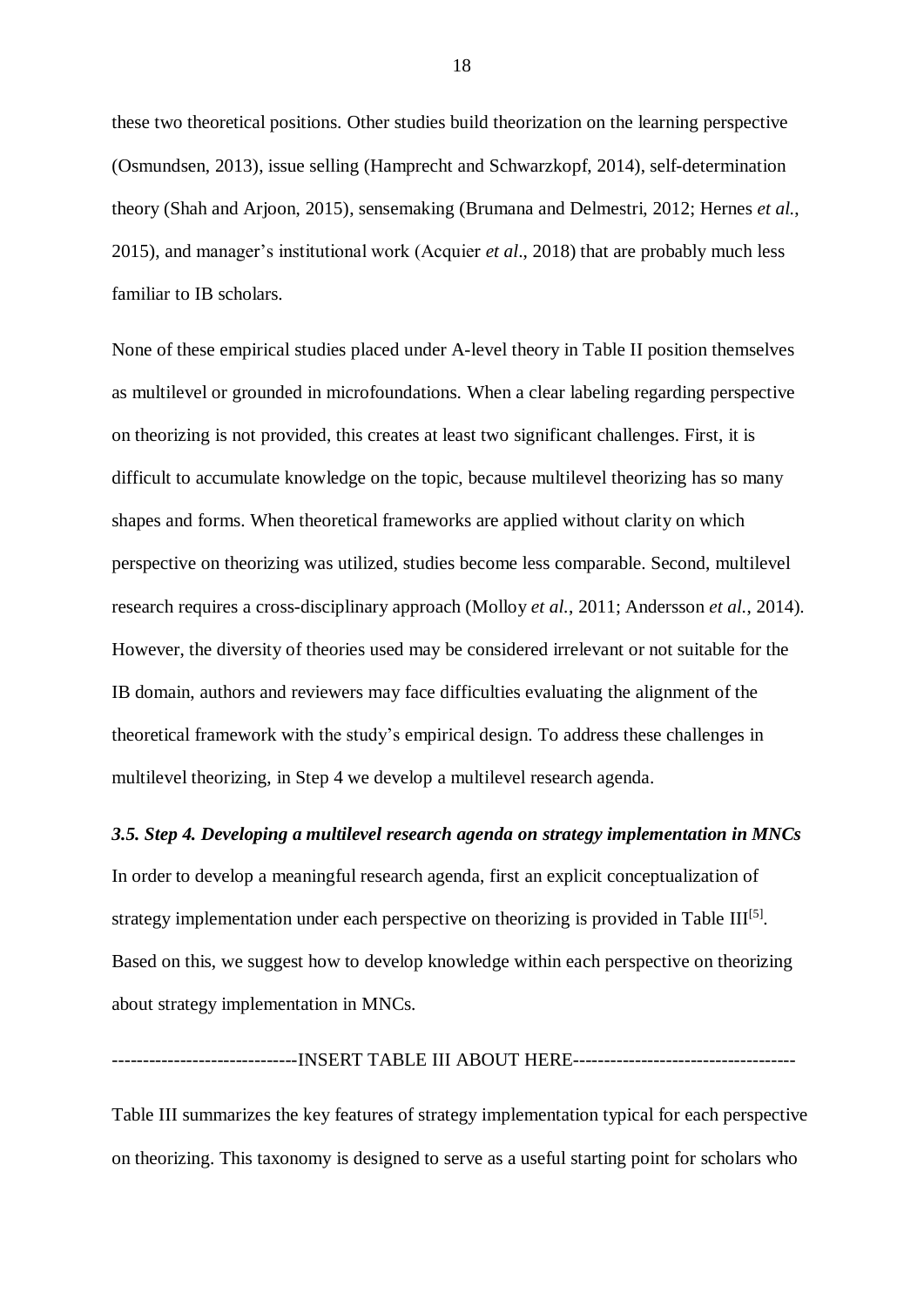these two theoretical positions. Other studies build theorization on the learning perspective (Osmundsen, 2013), issue selling (Hamprecht and Schwarzkopf, 2014), self-determination theory (Shah and Arjoon, 2015), sensemaking (Brumana and Delmestri, 2012; Hernes *et al.*, 2015), and manager's institutional work (Acquier *et al*., 2018) that are probably much less familiar to IB scholars.

None of these empirical studies placed under A-level theory in Table II position themselves as multilevel or grounded in microfoundations. When a clear labeling regarding perspective on theorizing is not provided, this creates at least two significant challenges. First, it is difficult to accumulate knowledge on the topic, because multilevel theorizing has so many shapes and forms. When theoretical frameworks are applied without clarity on which perspective on theorizing was utilized, studies become less comparable. Second, multilevel research requires a cross-disciplinary approach (Molloy *et al.*, 2011; Andersson *et al.*, 2014). However, the diversity of theories used may be considered irrelevant or not suitable for the IB domain, authors and reviewers may face difficulties evaluating the alignment of the theoretical framework with the study's empirical design. To address these challenges in multilevel theorizing, in Step 4 we develop a multilevel research agenda.

#### *3.5. Step 4. Developing a multilevel research agenda on strategy implementation in MNCs*

In order to develop a meaningful research agenda, first an explicit conceptualization of strategy implementation under each perspective on theorizing is provided in Table  $III^{[5]}$ . Based on this, we suggest how to develop knowledge within each perspective on theorizing about strategy implementation in MNCs.

------------------------------INSERT TABLE III ABOUT HERE------------------------------------

Table III summarizes the key features of strategy implementation typical for each perspective on theorizing. This taxonomy is designed to serve as a useful starting point for scholars who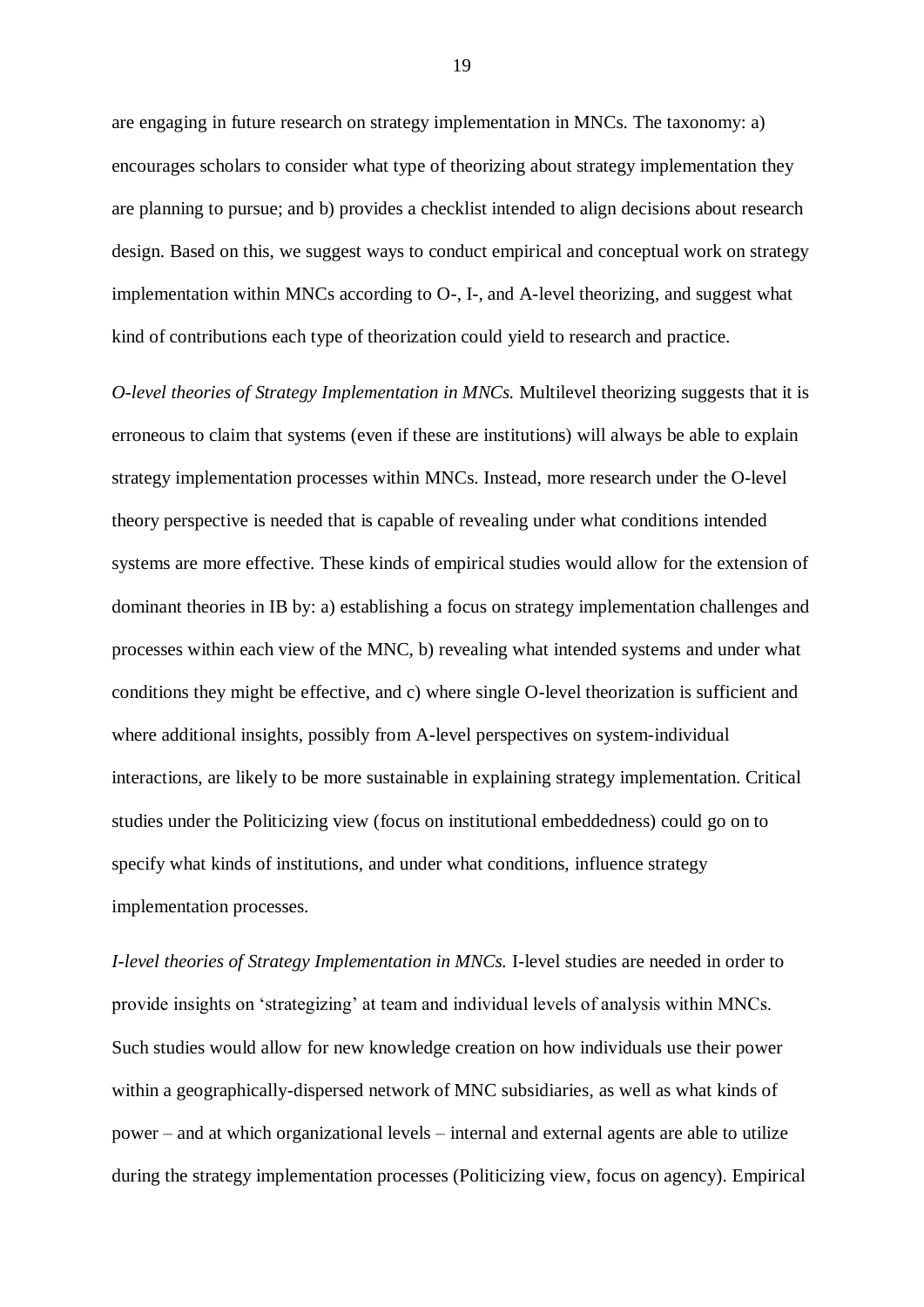are engaging in future research on strategy implementation in MNCs. The taxonomy: a) encourages scholars to consider what type of theorizing about strategy implementation they are planning to pursue; and b) provides a checklist intended to align decisions about research design. Based on this, we suggest ways to conduct empirical and conceptual work on strategy implementation within MNCs according to O-, I-, and A-level theorizing, and suggest what kind of contributions each type of theorization could yield to research and practice.

*O-level theories of Strategy Implementation in MNCs.* Multilevel theorizing suggests that it is erroneous to claim that systems (even if these are institutions) will always be able to explain strategy implementation processes within MNCs. Instead, more research under the O-level theory perspective is needed that is capable of revealing under what conditions intended systems are more effective. These kinds of empirical studies would allow for the extension of dominant theories in IB by: a) establishing a focus on strategy implementation challenges and processes within each view of the MNC, b) revealing what intended systems and under what conditions they might be effective, and c) where single O-level theorization is sufficient and where additional insights, possibly from A-level perspectives on system-individual interactions, are likely to be more sustainable in explaining strategy implementation. Critical studies under the Politicizing view (focus on institutional embeddedness) could go on to specify what kinds of institutions, and under what conditions, influence strategy implementation processes.

*I-level theories of Strategy Implementation in MNCs.* I-level studies are needed in order to provide insights on 'strategizing' at team and individual levels of analysis within MNCs. Such studies would allow for new knowledge creation on how individuals use their power within a geographically-dispersed network of MNC subsidiaries, as well as what kinds of power – and at which organizational levels – internal and external agents are able to utilize during the strategy implementation processes (Politicizing view, focus on agency). Empirical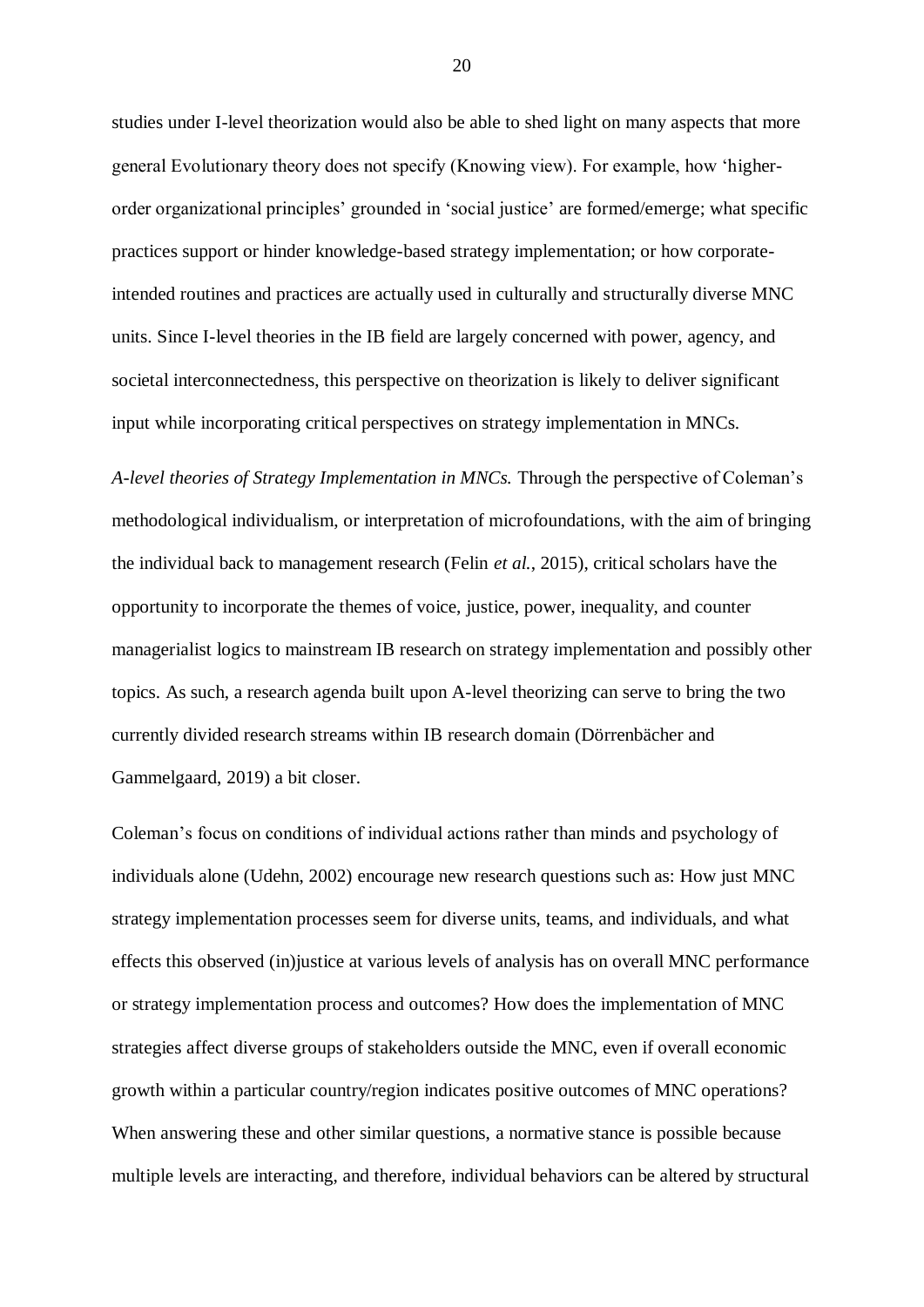studies under I-level theorization would also be able to shed light on many aspects that more general Evolutionary theory does not specify (Knowing view). For example, how 'higherorder organizational principles' grounded in 'social justice' are formed/emerge; what specific practices support or hinder knowledge-based strategy implementation; or how corporateintended routines and practices are actually used in culturally and structurally diverse MNC units. Since I-level theories in the IB field are largely concerned with power, agency, and societal interconnectedness, this perspective on theorization is likely to deliver significant input while incorporating critical perspectives on strategy implementation in MNCs.

*A-level theories of Strategy Implementation in MNCs.* Through the perspective of Coleman's methodological individualism, or interpretation of microfoundations, with the aim of bringing the individual back to management research (Felin *et al.*, 2015), critical scholars have the opportunity to incorporate the themes of voice, justice, power, inequality, and counter managerialist logics to mainstream IB research on strategy implementation and possibly other topics. As such, a research agenda built upon A-level theorizing can serve to bring the two currently divided research streams within IB research domain (Dörrenbächer and Gammelgaard, 2019) a bit closer.

Coleman's focus on conditions of individual actions rather than minds and psychology of individuals alone (Udehn, 2002) encourage new research questions such as: How just MNC strategy implementation processes seem for diverse units, teams, and individuals, and what effects this observed (in)justice at various levels of analysis has on overall MNC performance or strategy implementation process and outcomes? How does the implementation of MNC strategies affect diverse groups of stakeholders outside the MNC, even if overall economic growth within a particular country/region indicates positive outcomes of MNC operations? When answering these and other similar questions, a normative stance is possible because multiple levels are interacting, and therefore, individual behaviors can be altered by structural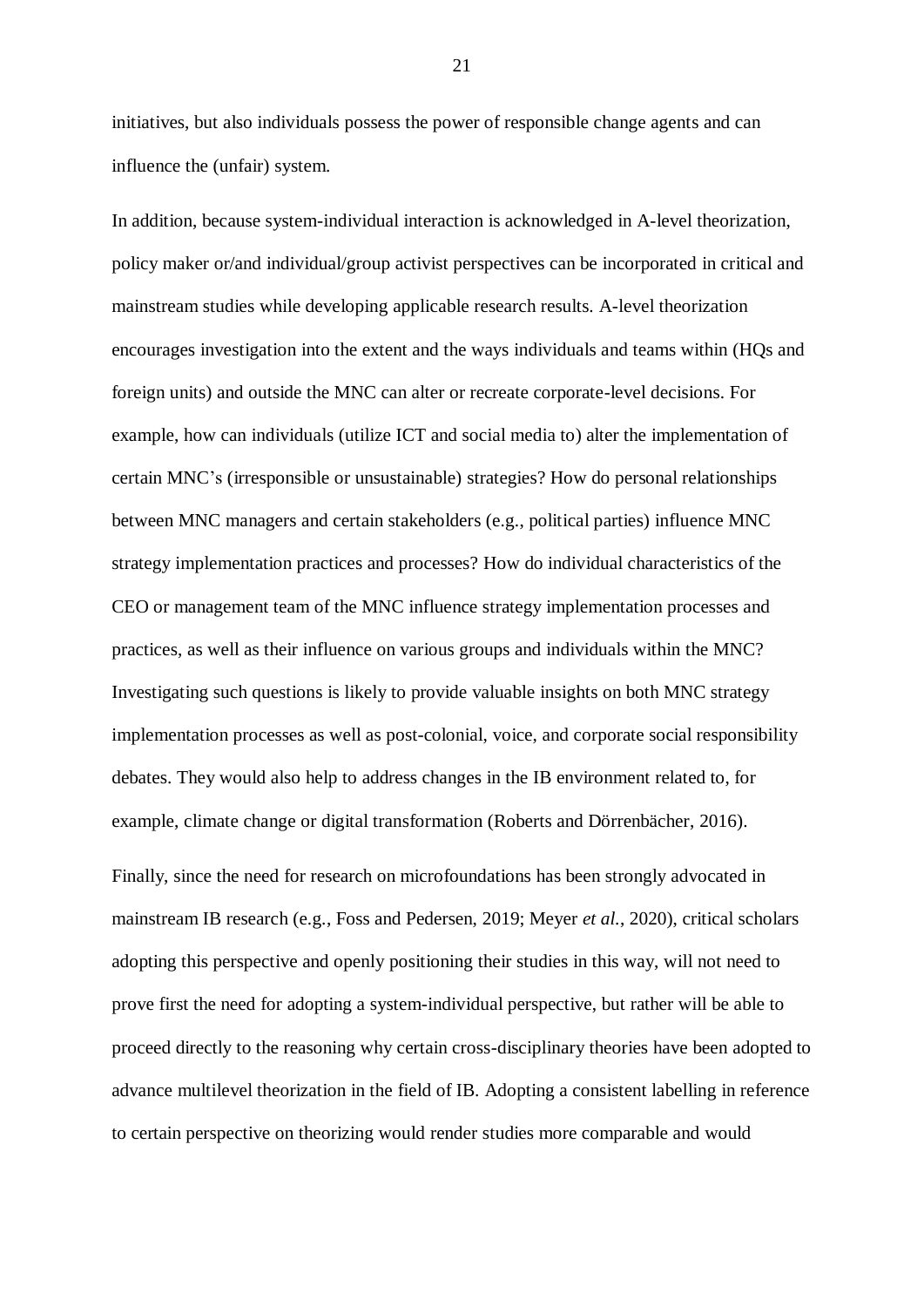initiatives, but also individuals possess the power of responsible change agents and can influence the (unfair) system.

In addition, because system-individual interaction is acknowledged in A-level theorization, policy maker or/and individual/group activist perspectives can be incorporated in critical and mainstream studies while developing applicable research results. A-level theorization encourages investigation into the extent and the ways individuals and teams within (HQs and foreign units) and outside the MNC can alter or recreate corporate-level decisions. For example, how can individuals (utilize ICT and social media to) alter the implementation of certain MNC's (irresponsible or unsustainable) strategies? How do personal relationships between MNC managers and certain stakeholders (e.g., political parties) influence MNC strategy implementation practices and processes? How do individual characteristics of the CEO or management team of the MNC influence strategy implementation processes and practices, as well as their influence on various groups and individuals within the MNC? Investigating such questions is likely to provide valuable insights on both MNC strategy implementation processes as well as post-colonial, voice, and corporate social responsibility debates. They would also help to address changes in the IB environment related to, for example, climate change or digital transformation (Roberts and Dörrenbächer, 2016).

Finally, since the need for research on microfoundations has been strongly advocated in mainstream IB research (e.g., Foss and Pedersen, 2019; Meyer *et al.*, 2020), critical scholars adopting this perspective and openly positioning their studies in this way, will not need to prove first the need for adopting a system-individual perspective, but rather will be able to proceed directly to the reasoning why certain cross-disciplinary theories have been adopted to advance multilevel theorization in the field of IB. Adopting a consistent labelling in reference to certain perspective on theorizing would render studies more comparable and would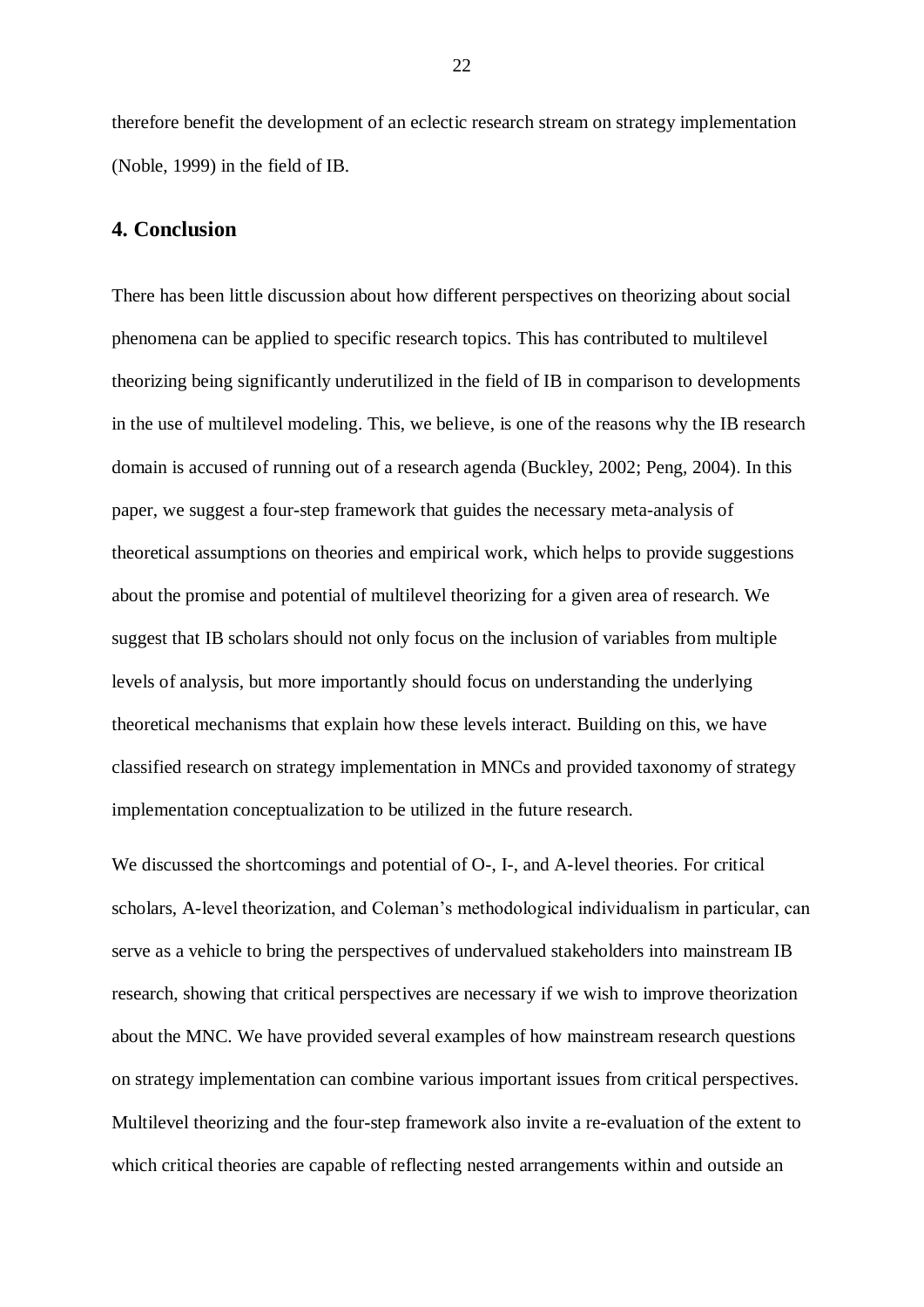therefore benefit the development of an eclectic research stream on strategy implementation (Noble, 1999) in the field of IB.

## **4. Conclusion**

There has been little discussion about how different perspectives on theorizing about social phenomena can be applied to specific research topics. This has contributed to multilevel theorizing being significantly underutilized in the field of IB in comparison to developments in the use of multilevel modeling. This, we believe, is one of the reasons why the IB research domain is accused of running out of a research agenda (Buckley, 2002; Peng, 2004). In this paper, we suggest a four-step framework that guides the necessary meta-analysis of theoretical assumptions on theories and empirical work, which helps to provide suggestions about the promise and potential of multilevel theorizing for a given area of research. We suggest that IB scholars should not only focus on the inclusion of variables from multiple levels of analysis, but more importantly should focus on understanding the underlying theoretical mechanisms that explain how these levels interact. Building on this, we have classified research on strategy implementation in MNCs and provided taxonomy of strategy implementation conceptualization to be utilized in the future research.

We discussed the shortcomings and potential of O-, I-, and A-level theories. For critical scholars, A-level theorization, and Coleman's methodological individualism in particular, can serve as a vehicle to bring the perspectives of undervalued stakeholders into mainstream IB research, showing that critical perspectives are necessary if we wish to improve theorization about the MNC. We have provided several examples of how mainstream research questions on strategy implementation can combine various important issues from critical perspectives. Multilevel theorizing and the four-step framework also invite a re-evaluation of the extent to which critical theories are capable of reflecting nested arrangements within and outside an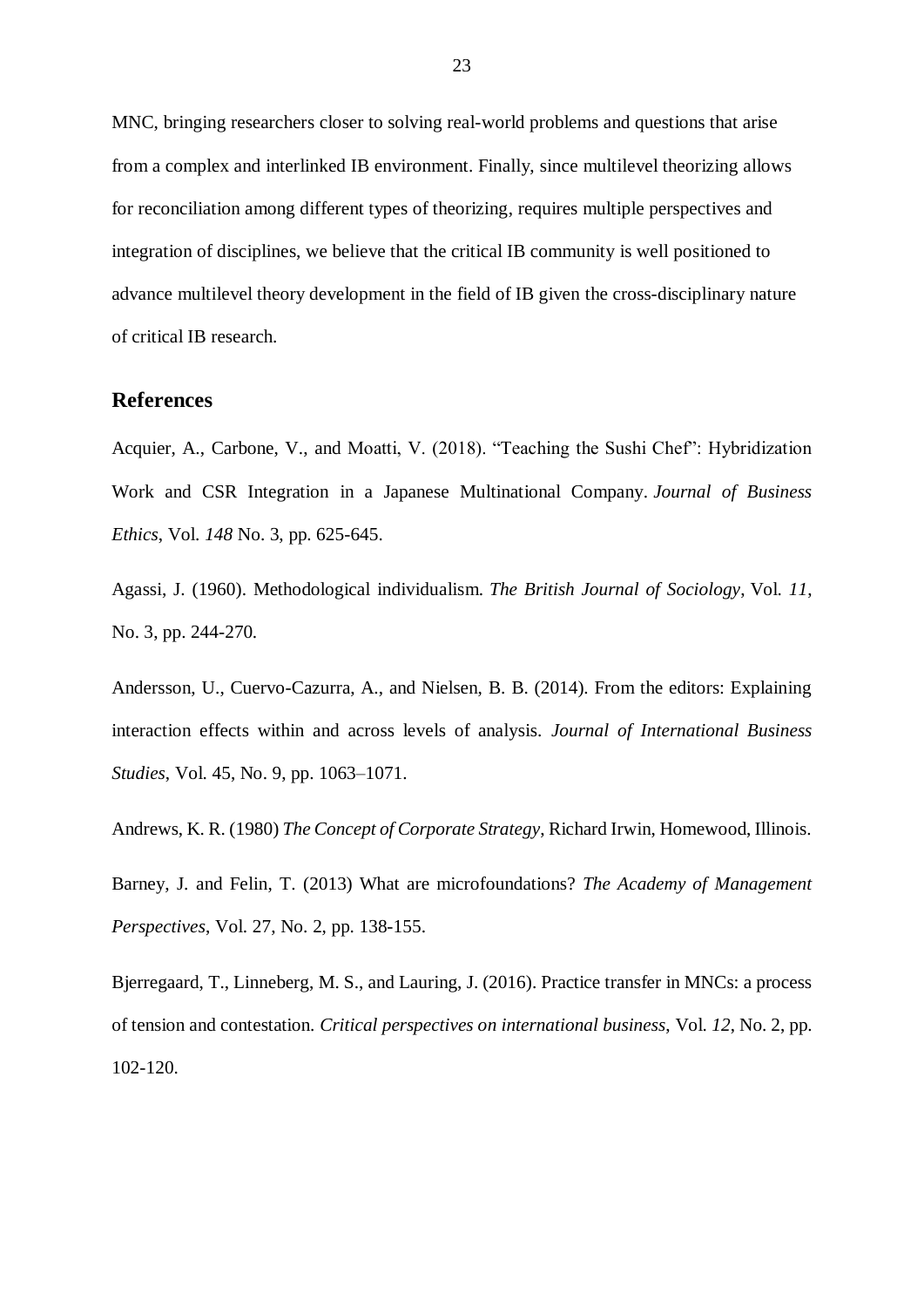MNC, bringing researchers closer to solving real-world problems and questions that arise from a complex and interlinked IB environment. Finally, since multilevel theorizing allows for reconciliation among different types of theorizing, requires multiple perspectives and integration of disciplines, we believe that the critical IB community is well positioned to advance multilevel theory development in the field of IB given the cross-disciplinary nature of critical IB research.

### **References**

Acquier, A., Carbone, V., and Moatti, V. (2018). "Teaching the Sushi Chef": Hybridization Work and CSR Integration in a Japanese Multinational Company. *Journal of Business Ethics*, Vol. *148* No. 3, pp. 625-645.

Agassi, J. (1960). Methodological individualism. *The British Journal of Sociology*, Vol. *11*, No. 3, pp. 244-270.

Andersson, U., Cuervo-Cazurra, A., and Nielsen, B. B. (2014). From the editors: Explaining interaction effects within and across levels of analysis. *Journal of International Business Studies*, Vol. 45, No. 9, pp. 1063–1071.

Andrews, K. R. (1980) *The Concept of Corporate Strategy*, Richard Irwin, Homewood, Illinois.

Barney, J. and Felin, T. (2013) What are microfoundations? *The Academy of Management Perspectives*, Vol. 27, No. 2, pp. 138-155.

Bjerregaard, T., Linneberg, M. S., and Lauring, J. (2016). Practice transfer in MNCs: a process of tension and contestation. *Critical perspectives on international business*, Vol. *12*, No. 2, pp. 102-120.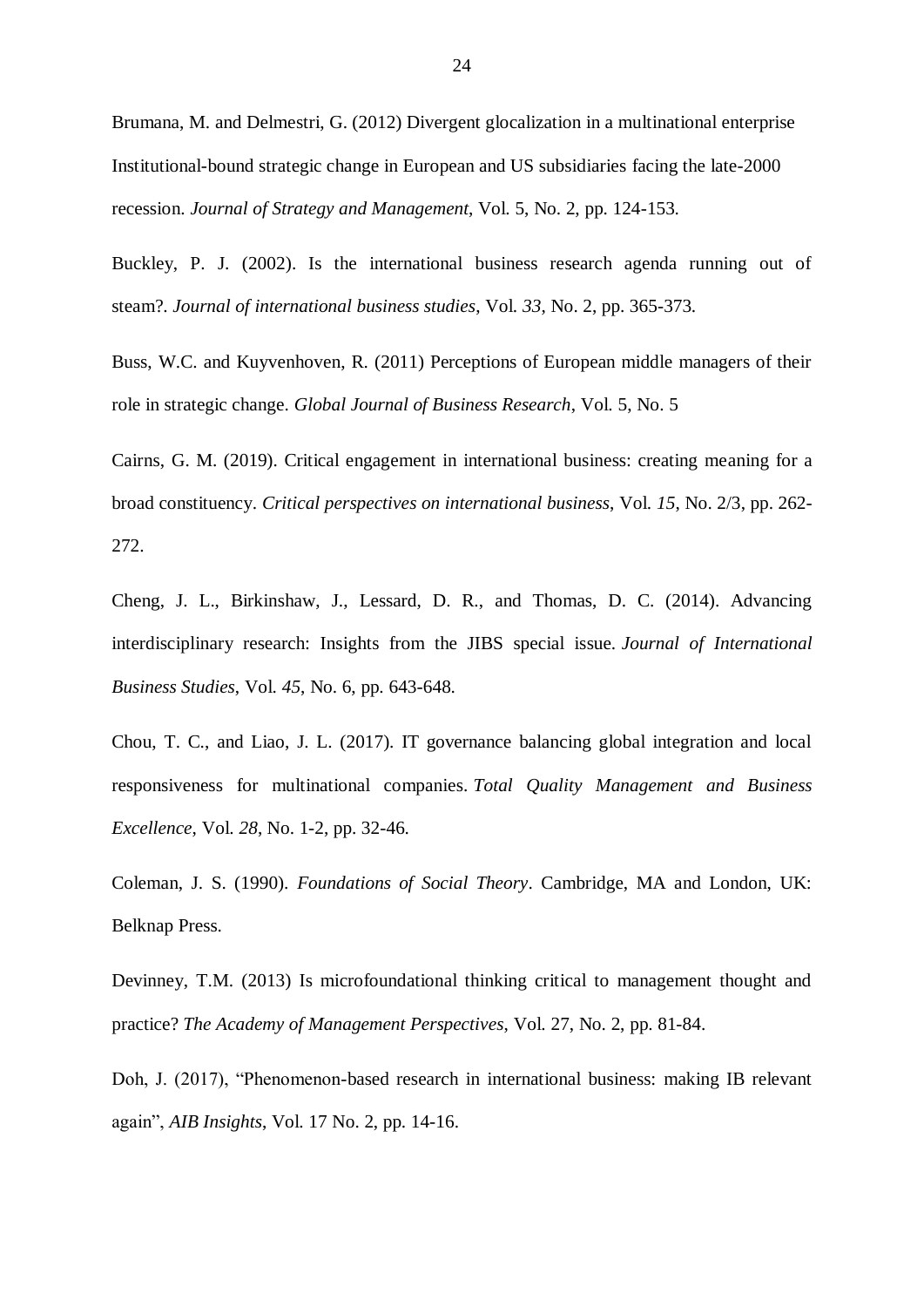Brumana, M. and Delmestri, G. (2012) Divergent glocalization in a multinational enterprise Institutional-bound strategic change in European and US subsidiaries facing the late-2000 recession. *Journal of Strategy and Management*, Vol. 5, No. 2, pp. 124-153.

Buckley, P. J. (2002). Is the international business research agenda running out of steam?. *Journal of international business studies*, Vol. *33*, No. 2, pp. 365-373.

Buss, W.C. and Kuyvenhoven, R. (2011) Perceptions of European middle managers of their role in strategic change. *Global Journal of Business Research*, Vol. 5, No. 5

Cairns, G. M. (2019). Critical engagement in international business: creating meaning for a broad constituency. *Critical perspectives on international business*, Vol. *15*, No. 2/3, pp. 262- 272.

Cheng, J. L., Birkinshaw, J., Lessard, D. R., and Thomas, D. C. (2014). Advancing interdisciplinary research: Insights from the JIBS special issue. *Journal of International Business Studies*, Vol. *45*, No. 6, pp. 643-648.

Chou, T. C., and Liao, J. L. (2017). IT governance balancing global integration and local responsiveness for multinational companies. *Total Quality Management and Business Excellence*, Vol. *28*, No. 1-2, pp. 32-46.

Coleman, J. S. (1990). *Foundations of Social Theory*. Cambridge, MA and London, UK: Belknap Press.

Devinney, T.M. (2013) Is microfoundational thinking critical to management thought and practice? *The Academy of Management Perspectives*, Vol. 27, No. 2, pp. 81-84.

Doh, J. (2017), "Phenomenon-based research in international business: making IB relevant again", *AIB Insights*, Vol. 17 No. 2, pp. 14-16.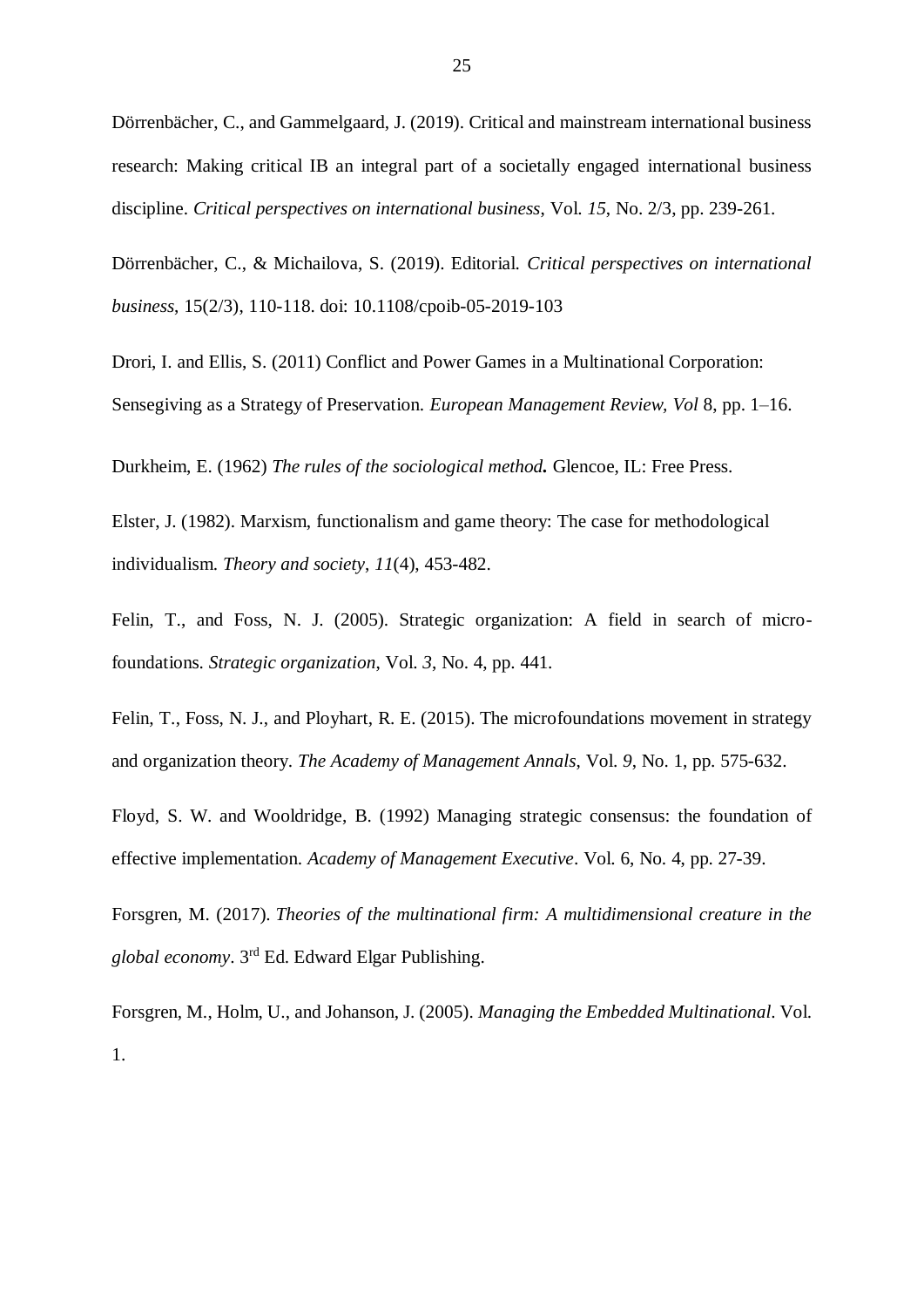Dörrenbächer, C., and Gammelgaard, J. (2019). Critical and mainstream international business research: Making critical IB an integral part of a societally engaged international business discipline. *Critical perspectives on international business*, Vol. *15*, No. 2/3, pp. 239-261.

Dörrenbächer, C., & Michailova, S. (2019). Editorial. *Critical perspectives on international business*, 15(2/3), 110-118. doi: 10.1108/cpoib-05-2019-103

Drori, I. and Ellis, S. (2011) Conflict and Power Games in a Multinational Corporation: Sensegiving as a Strategy of Preservation. *European Management Review, Vol* 8, pp. 1–16.

Durkheim, E. (1962) *The rules of the sociological method.* Glencoe, IL: Free Press.

Elster, J. (1982). Marxism, functionalism and game theory: The case for methodological individualism. *Theory and society*, *11*(4), 453-482.

Felin, T., and Foss, N. J. (2005). Strategic organization: A field in search of microfoundations. *Strategic organization*, Vol. *3*, No. 4, pp. 441.

Felin, T., Foss, N. J., and Ployhart, R. E. (2015). The microfoundations movement in strategy and organization theory. *The Academy of Management Annals*, Vol. *9*, No. 1, pp. 575-632.

Floyd, S. W. and Wooldridge, B. (1992) Managing strategic consensus: the foundation of effective implementation. *Academy of Management Executive*. Vol. 6, No. 4, pp. 27-39.

Forsgren, M. (2017). *Theories of the multinational firm: A multidimensional creature in the global economy*. 3 rd Ed. Edward Elgar Publishing.

Forsgren, M., Holm, U., and Johanson, J. (2005). *Managing the Embedded Multinational*. Vol. 1.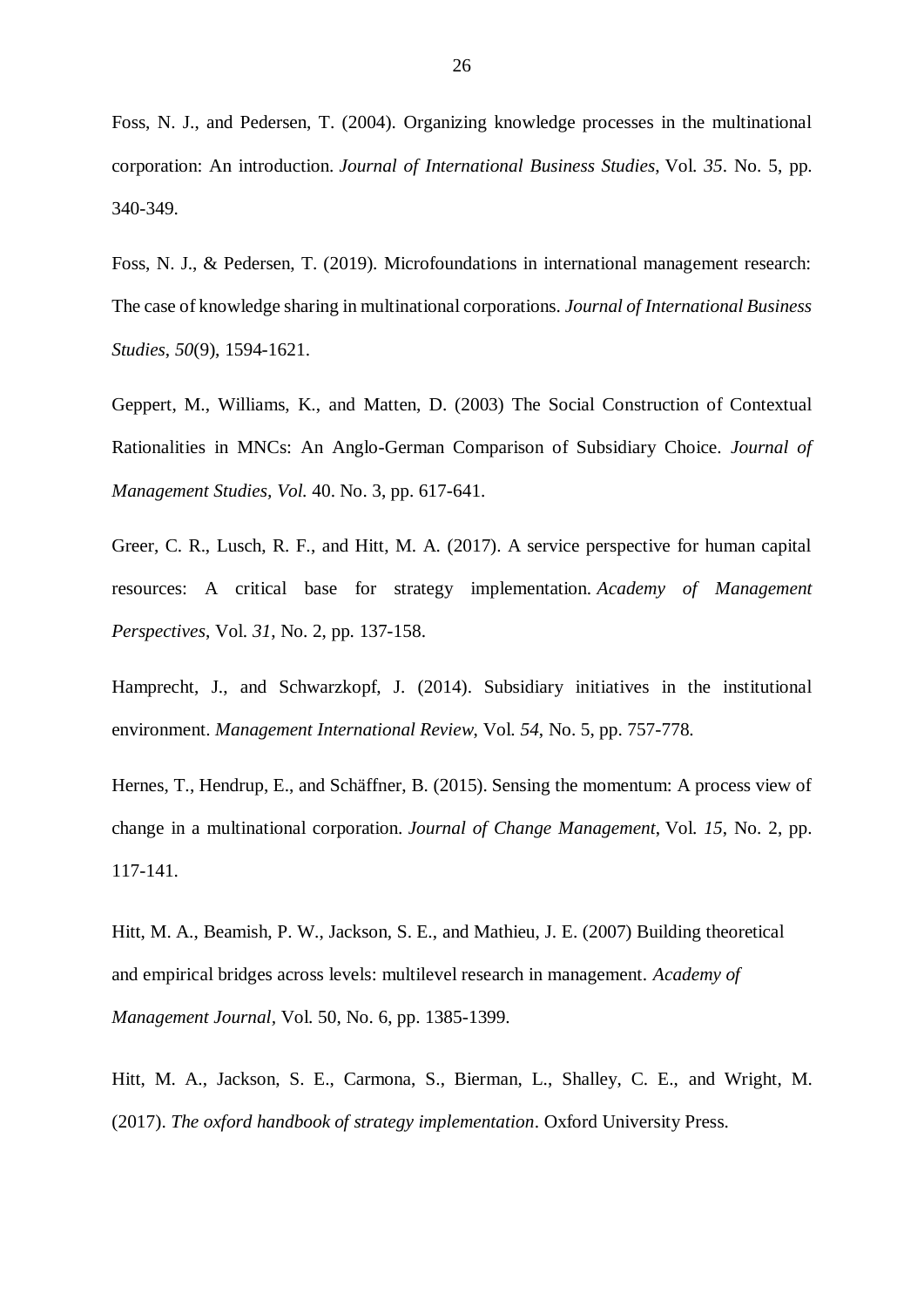Foss, N. J., and Pedersen, T. (2004). Organizing knowledge processes in the multinational corporation: An introduction. *Journal of International Business Studies*, Vol. *35*. No. 5, pp. 340-349.

Foss, N. J., & Pedersen, T. (2019). Microfoundations in international management research: The case of knowledge sharing in multinational corporations. *Journal of International Business Studies*, *50*(9), 1594-1621.

Geppert, M., Williams, K., and Matten, D. (2003) The Social Construction of Contextual Rationalities in MNCs: An Anglo-German Comparison of Subsidiary Choice. *Journal of Management Studies, Vol.* 40. No. 3, pp. 617-641.

Greer, C. R., Lusch, R. F., and Hitt, M. A. (2017). A service perspective for human capital resources: A critical base for strategy implementation. *Academy of Management Perspectives*, Vol. *31*, No. 2, pp. 137-158.

Hamprecht, J., and Schwarzkopf, J. (2014). Subsidiary initiatives in the institutional environment. *Management International Review*, Vol. *54*, No. 5, pp. 757-778.

Hernes, T., Hendrup, E., and Schäffner, B. (2015). Sensing the momentum: A process view of change in a multinational corporation. *Journal of Change Management*, Vol. *15*, No. 2, pp. 117-141.

Hitt, M. A., Beamish, P. W., Jackson, S. E., and Mathieu, J. E. (2007) Building theoretical and empirical bridges across levels: multilevel research in management. *Academy of Management Journal,* Vol. 50, No. 6, pp. 1385-1399.

Hitt, M. A., Jackson, S. E., Carmona, S., Bierman, L., Shalley, C. E., and Wright, M. (2017). *The oxford handbook of strategy implementation*. Oxford University Press.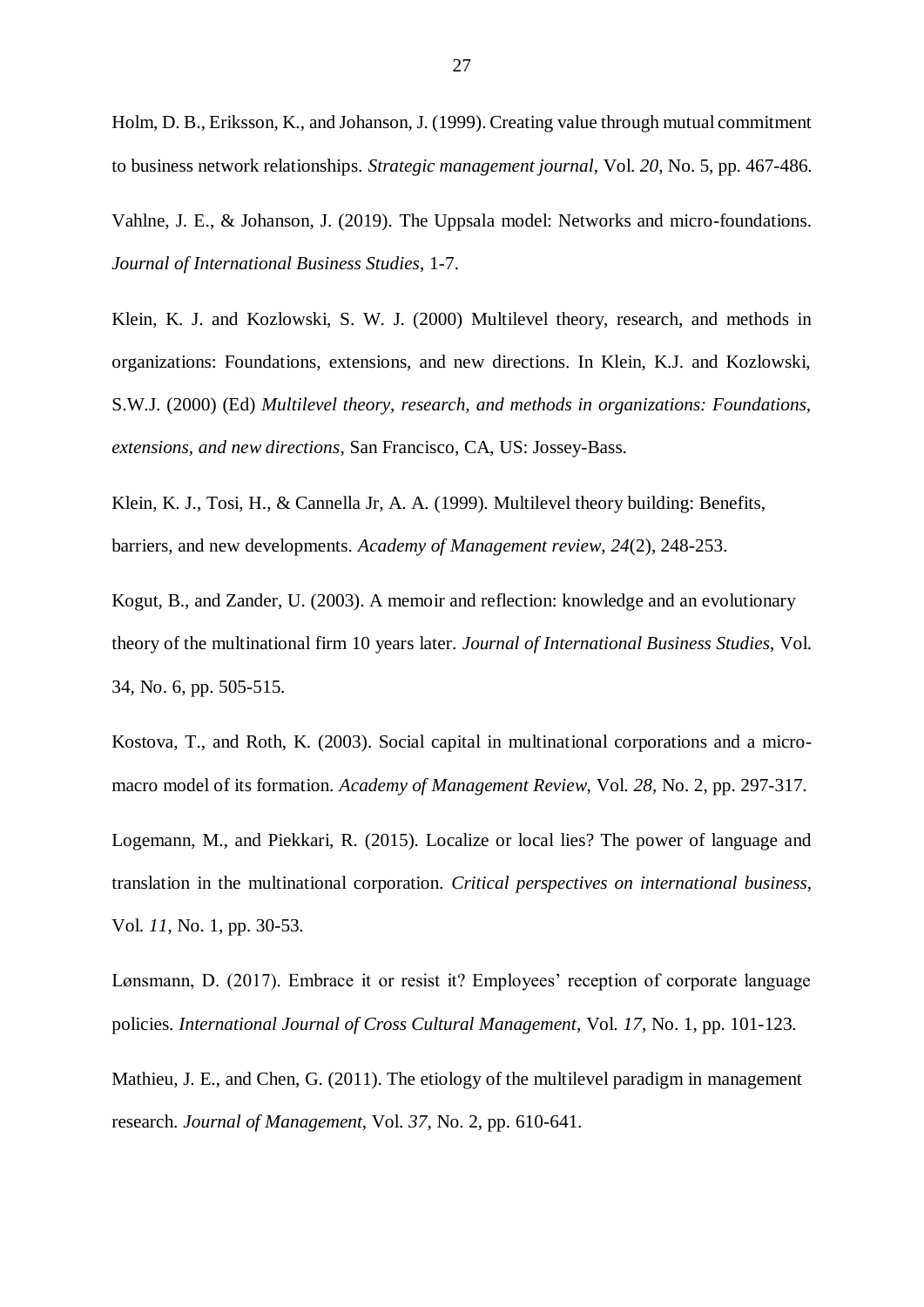Holm, D. B., Eriksson, K., and Johanson, J. (1999). Creating value through mutual commitment to business network relationships. *Strategic management journal*, Vol. *20*, No. 5, pp. 467-486.

Vahlne, J. E., & Johanson, J. (2019). The Uppsala model: Networks and micro-foundations. *Journal of International Business Studies*, 1-7.

Klein, K. J. and Kozlowski, S. W. J. (2000) Multilevel theory, research, and methods in organizations: Foundations, extensions, and new directions. In Klein, K.J. and Kozlowski, S.W.J. (2000) (Ed) *Multilevel theory, research, and methods in organizations: Foundations, extensions, and new directions*, San Francisco, CA, US: Jossey-Bass.

Klein, K. J., Tosi, H., & Cannella Jr, A. A. (1999). Multilevel theory building: Benefits, barriers, and new developments. *Academy of Management review*, *24*(2), 248-253.

Kogut, B., and Zander, U. (2003). A memoir and reflection: knowledge and an evolutionary theory of the multinational firm 10 years later. *Journal of International Business Studies*, Vol. 34, No. 6, pp. 505-515.

Kostova, T., and Roth, K. (2003). Social capital in multinational corporations and a micromacro model of its formation. *Academy of Management Review*, Vol. *28*, No. 2, pp. 297-317.

Logemann, M., and Piekkari, R. (2015). Localize or local lies? The power of language and translation in the multinational corporation. *Critical perspectives on international business*, Vol. *11*, No. 1, pp. 30-53.

Lønsmann, D. (2017). Embrace it or resist it? Employees' reception of corporate language policies. *International Journal of Cross Cultural Management*, Vol. *17*, No. 1, pp. 101-123.

Mathieu, J. E., and Chen, G. (2011). The etiology of the multilevel paradigm in management research. *Journal of Management*, Vol. *37*, No. 2, pp. 610-641.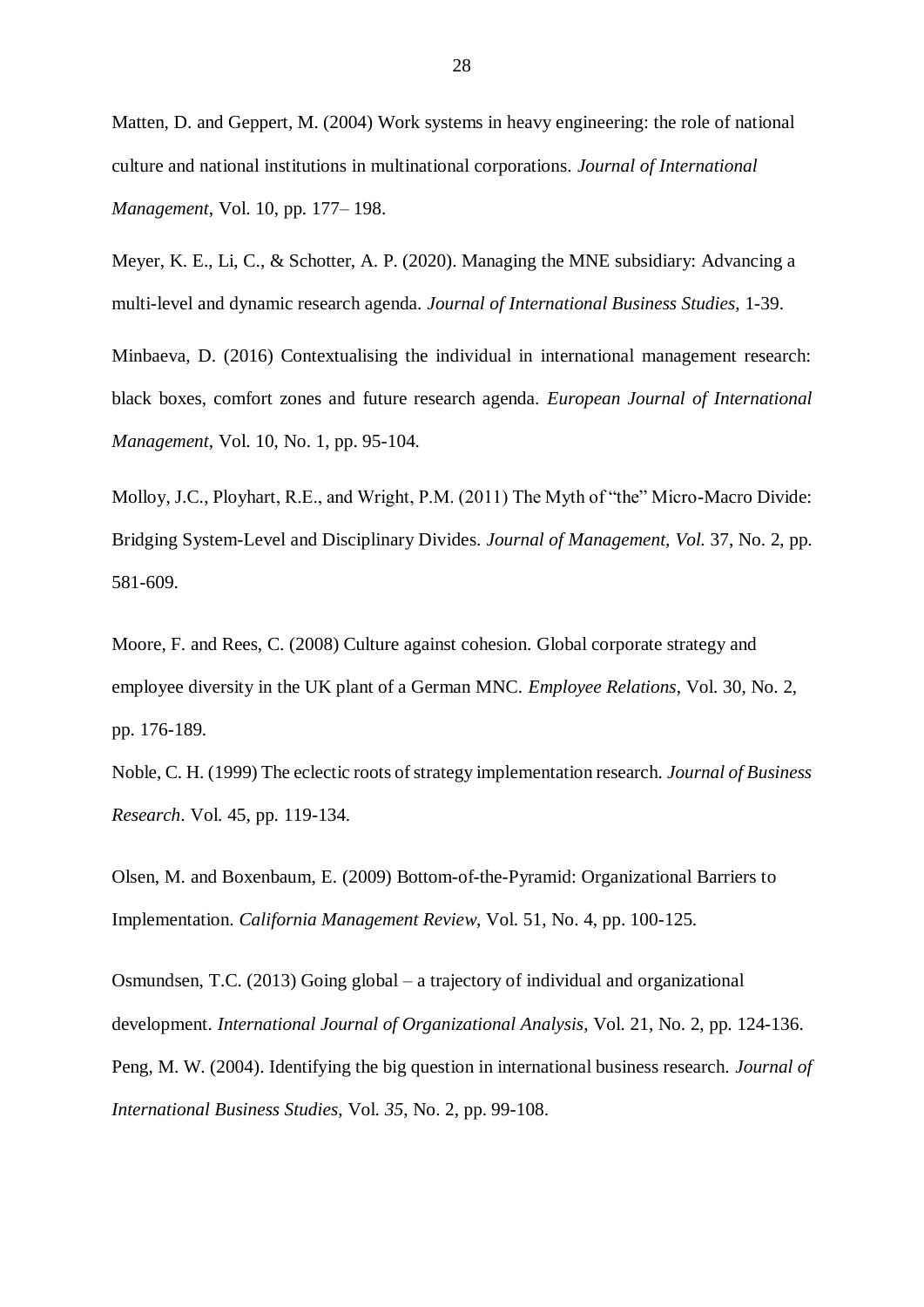Matten, D. and Geppert, M. (2004) Work systems in heavy engineering: the role of national culture and national institutions in multinational corporations. *Journal of International Management*, Vol. 10, pp. 177– 198.

Meyer, K. E., Li, C., & Schotter, A. P. (2020). Managing the MNE subsidiary: Advancing a multi-level and dynamic research agenda. *Journal of International Business Studies*, 1-39.

Minbaeva, D. (2016) Contextualising the individual in international management research: black boxes, comfort zones and future research agenda. *European Journal of International Management*, Vol. 10, No. 1, pp. 95-104.

Molloy, J.C., Ployhart, R.E., and Wright, P.M. (2011) The Myth of "the" Micro-Macro Divide: Bridging System-Level and Disciplinary Divides. *Journal of Management, Vol.* 37, No. 2, pp. 581-609.

Moore, F. and Rees, C. (2008) Culture against cohesion. Global corporate strategy and employee diversity in the UK plant of a German MNC. *Employee Relations*, Vol. 30, No. 2, pp. 176-189.

Noble, C. H. (1999) The eclectic roots of strategy implementation research. *Journal of Business Research*. Vol. 45, pp. 119-134.

Olsen, M. and Boxenbaum, E. (2009) Bottom-of-the-Pyramid: Organizational Barriers to Implementation. *California Management Review*, Vol. 51, No. 4, pp. 100-125.

Osmundsen, T.C. (2013) Going global – a trajectory of individual and organizational development. *International Journal of Organizational Analysis*, Vol. 21, No. 2, pp. 124-136. Peng, M. W. (2004). Identifying the big question in international business research. *Journal of International Business Studies*, Vol. *35*, No. 2, pp. 99-108.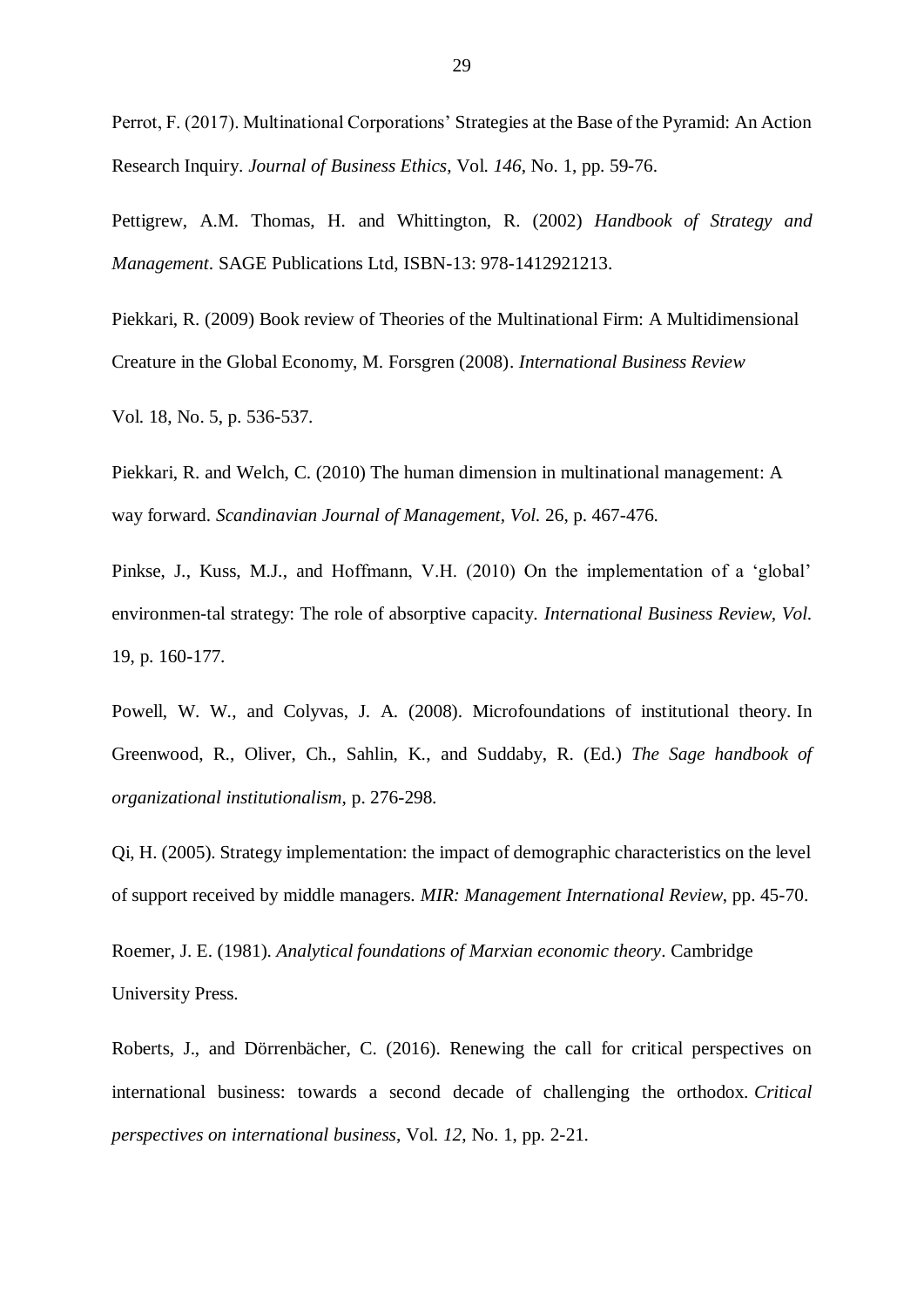Perrot, F. (2017). Multinational Corporations' Strategies at the Base of the Pyramid: An Action Research Inquiry. *Journal of Business Ethics*, Vol. *146*, No. 1, pp. 59-76.

Pettigrew, A.M. Thomas, H. and Whittington, R. (2002) *Handbook of Strategy and Management*. SAGE Publications Ltd, ISBN-13: 978-1412921213.

Piekkari, R. (2009) Book review of Theories of the Multinational Firm: A Multidimensional Creature in the Global Economy, M. Forsgren (2008). *International Business Review*

Vol. 18, No. 5, p. 536-537.

Piekkari, R. and Welch, C. (2010) The human dimension in multinational management: A way forward. *Scandinavian Journal of Management, Vol.* 26, p. 467-476.

Pinkse, J., Kuss, M.J., and Hoffmann, V.H. (2010) On the implementation of a 'global' environmen-tal strategy: The role of absorptive capacity. *International Business Review, Vol.* 19, p. 160-177.

Powell, W. W., and Colyvas, J. A. (2008). Microfoundations of institutional theory. In Greenwood, R., Oliver, Ch., Sahlin, K., and Suddaby, R. (Ed.) *The Sage handbook of organizational institutionalism*, p. 276-298.

Qi, H. (2005). Strategy implementation: the impact of demographic characteristics on the level of support received by middle managers. *MIR: Management International Review*, pp. 45-70.

Roemer, J. E. (1981). *Analytical foundations of Marxian economic theory*. Cambridge University Press.

Roberts, J., and Dörrenbächer, C. (2016). Renewing the call for critical perspectives on international business: towards a second decade of challenging the orthodox. *Critical perspectives on international business*, Vol. *12*, No. 1, pp. 2-21.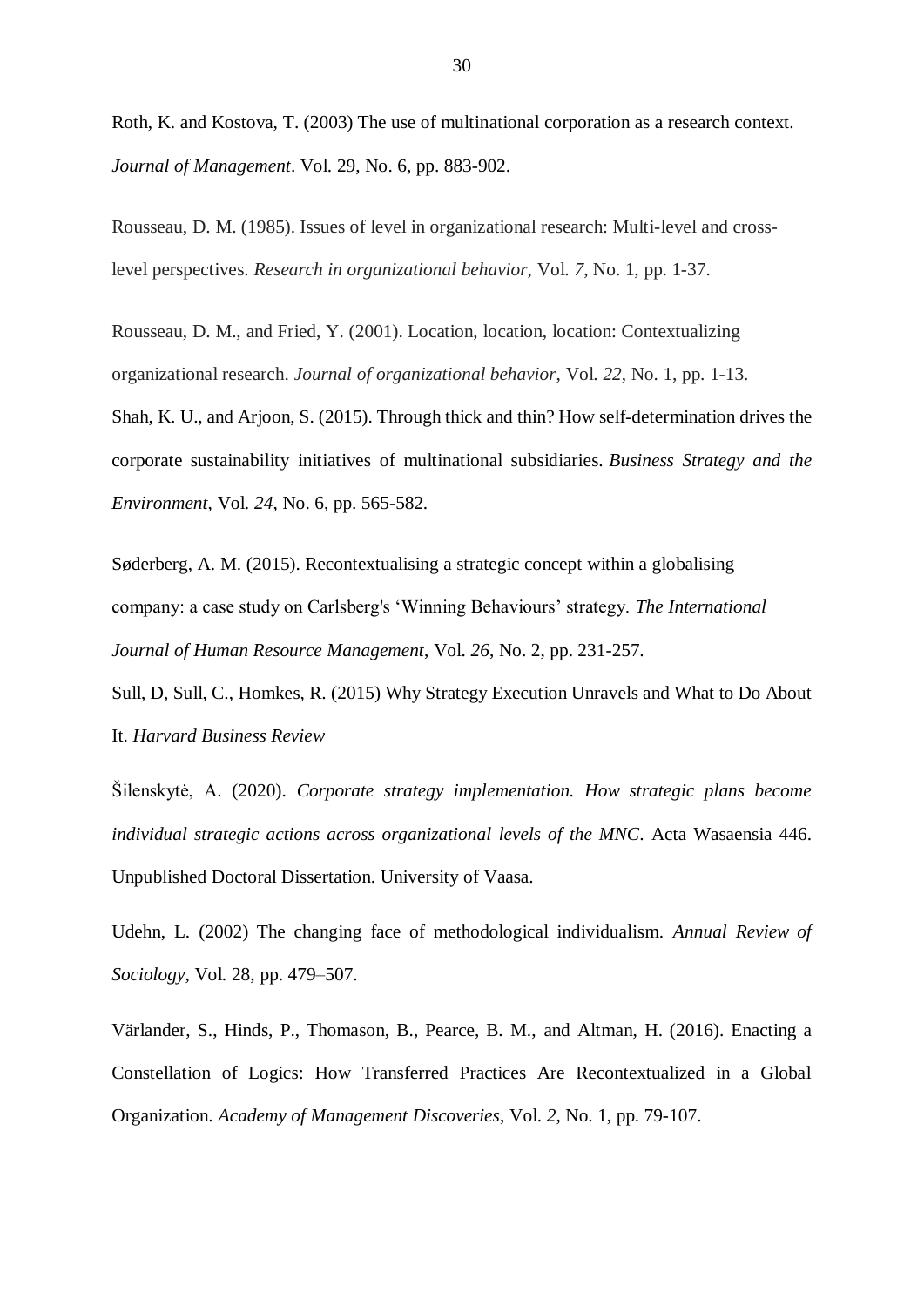Roth, K. and Kostova, T. (2003) The use of multinational corporation as a research context. *Journal of Management*. Vol. 29, No. 6, pp. 883-902.

Rousseau, D. M. (1985). Issues of level in organizational research: Multi-level and crosslevel perspectives. *Research in organizational behavior*, Vol. *7*, No. 1, pp. 1-37.

Rousseau, D. M., and Fried, Y. (2001). Location, location, location: Contextualizing organizational research. *Journal of organizational behavior*, Vol. *22*, No. 1, pp. 1-13.

Shah, K. U., and Arjoon, S. (2015). Through thick and thin? How self‐determination drives the corporate sustainability initiatives of multinational subsidiaries. *Business Strategy and the Environment*, Vol. *24*, No. 6, pp. 565-582.

Søderberg, A. M. (2015). Recontextualising a strategic concept within a globalising company: a case study on Carlsberg's 'Winning Behaviours' strategy. *The International Journal of Human Resource Management*, Vol. *26*, No. 2, pp. 231-257.

Sull, D, Sull, C., Homkes, R. (2015) Why Strategy Execution Unravels and What to Do About It. *Harvard Business Review*

Šilenskytė, A. (2020). *Corporate strategy implementation. How strategic plans become individual strategic actions across organizational levels of the MNC*. Acta Wasaensia 446. Unpublished Doctoral Dissertation. University of Vaasa.

Udehn, L. (2002) The changing face of methodological individualism. *Annual Review of Sociology*, Vol. 28, pp. 479–507.

Värlander, S., Hinds, P., Thomason, B., Pearce, B. M., and Altman, H. (2016). Enacting a Constellation of Logics: How Transferred Practices Are Recontextualized in a Global Organization. *Academy of Management Discoveries*, Vol. *2*, No. 1, pp. 79-107.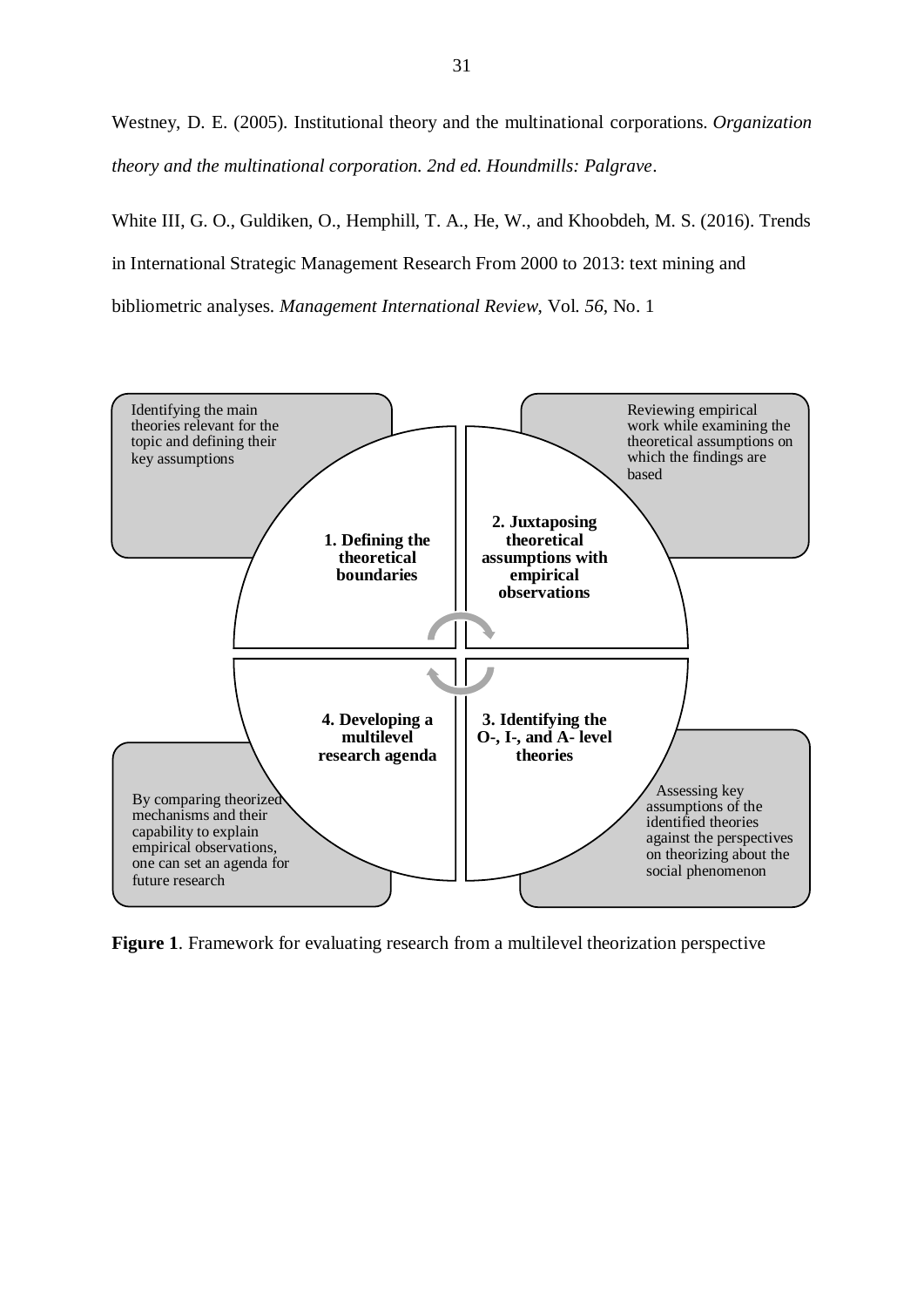Westney, D. E. (2005). Institutional theory and the multinational corporations. *Organization theory and the multinational corporation. 2nd ed. Houndmills: Palgrave*.

White III, G. O., Guldiken, O., Hemphill, T. A., He, W., and Khoobdeh, M. S. (2016). Trends in International Strategic Management Research From 2000 to 2013: text mining and bibliometric analyses. *Management International Review*, Vol. *56*, No. 1



**Figure 1**. Framework for evaluating research from a multilevel theorization perspective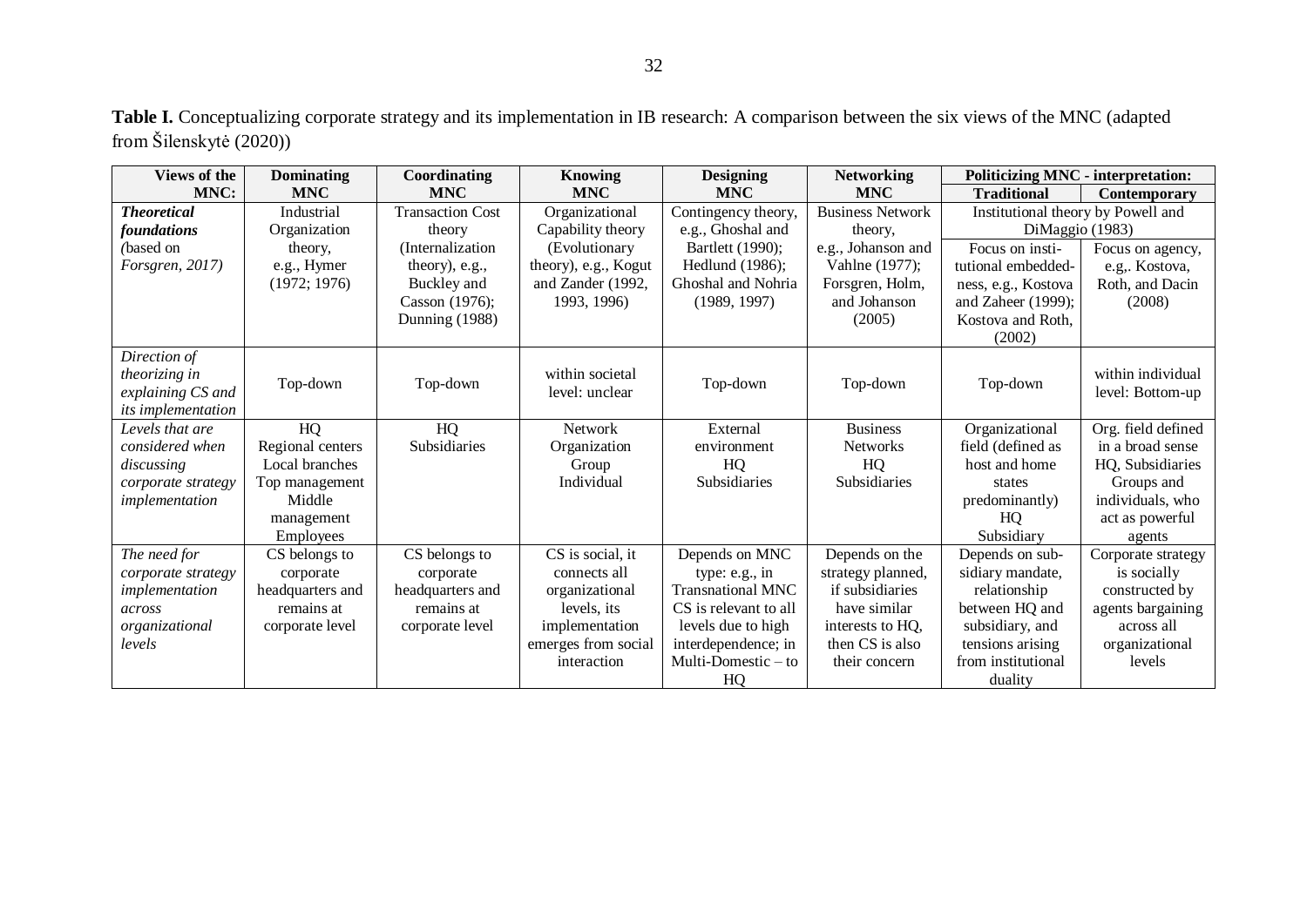| <b>Views of the</b>       | <b>Dominating</b> | Coordinating            | <b>Knowing</b>       | <b>Designing</b>         | <b>Networking</b>       | <b>Politicizing MNC - interpretation:</b> |                     |
|---------------------------|-------------------|-------------------------|----------------------|--------------------------|-------------------------|-------------------------------------------|---------------------|
| MNC:                      | <b>MNC</b>        | <b>MNC</b>              | <b>MNC</b>           | <b>MNC</b>               | <b>MNC</b>              | <b>Traditional</b>                        | <b>Contemporary</b> |
| <b>Theoretical</b>        | Industrial        | <b>Transaction Cost</b> | Organizational       | Contingency theory,      | <b>Business Network</b> | Institutional theory by Powell and        |                     |
| foundations               | Organization      | theory                  | Capability theory    | e.g., Ghoshal and        | theory.                 | DiMaggio (1983)                           |                     |
| (based on                 | theory,           | (Internalization)       | (Evolutionary        | Bartlett (1990);         | e.g., Johanson and      | Focus on insti-                           | Focus on agency,    |
| Forsgren, 2017)           | e.g., Hymer       | theory), e.g.,          | theory), e.g., Kogut | Hedlund (1986);          | Vahlne (1977);          | tutional embedded-                        | e.g. Kostova,       |
|                           | (1972; 1976)      | Buckley and             | and Zander (1992,    | Ghoshal and Nohria       | Forsgren, Holm,         | ness, e.g., Kostova                       | Roth, and Dacin     |
|                           |                   | Casson (1976);          | 1993, 1996)          | (1989, 1997)             | and Johanson            | and Zaheer $(1999)$ ;                     | (2008)              |
|                           |                   | Dunning (1988)          |                      |                          | (2005)                  | Kostova and Roth.                         |                     |
|                           |                   |                         |                      |                          |                         | (2002)                                    |                     |
| Direction of              |                   |                         |                      |                          |                         |                                           |                     |
| theorizing in             | Top-down          | Top-down                | within societal      | Top-down                 | Top-down                | Top-down                                  | within individual   |
| explaining CS and         |                   |                         | level: unclear       |                          |                         |                                           | level: Bottom-up    |
| <i>its implementation</i> |                   |                         |                      |                          |                         |                                           |                     |
| Levels that are           | HQ                | HQ                      | <b>Network</b>       | External                 | <b>Business</b>         | Organizational                            | Org. field defined  |
| considered when           | Regional centers  | Subsidiaries            | Organization         | environment              | <b>Networks</b>         | field (defined as                         | in a broad sense    |
| discussing                | Local branches    |                         | Group                | HQ                       | HQ                      | host and home                             | HQ, Subsidiaries    |
| corporate strategy        | Top management    |                         | Individual           | Subsidiaries             | <b>Subsidiaries</b>     | states                                    | Groups and          |
| implementation            | Middle            |                         |                      |                          |                         | predominantly)                            | individuals, who    |
|                           | management        |                         |                      |                          |                         | HQ                                        | act as powerful     |
|                           | <b>Employees</b>  |                         |                      |                          |                         | Subsidiary                                | agents              |
| The need for              | CS belongs to     | CS belongs to           | CS is social, it     | Depends on MNC           | Depends on the          | Depends on sub-                           | Corporate strategy  |
| corporate strategy        | corporate         | corporate               | connects all         | type: $e.g., in$         | strategy planned,       | sidiary mandate,                          | is socially         |
| implementation            | headquarters and  | headquarters and        | organizational       | <b>Transnational MNC</b> | if subsidiaries         | relationship                              | constructed by      |
| across                    | remains at        | remains at              | levels, its          | CS is relevant to all    | have similar            | between HQ and                            | agents bargaining   |
| organizational            | corporate level   | corporate level         | implementation       | levels due to high       | interests to HQ.        | subsidiary, and                           | across all          |
| levels                    |                   |                         | emerges from social  | interdependence; in      | then CS is also         | tensions arising                          | organizational      |
|                           |                   |                         | interaction          | Multi-Domestic $-$ to    | their concern           | from institutional                        | levels              |
|                           |                   |                         |                      | HQ                       |                         | duality                                   |                     |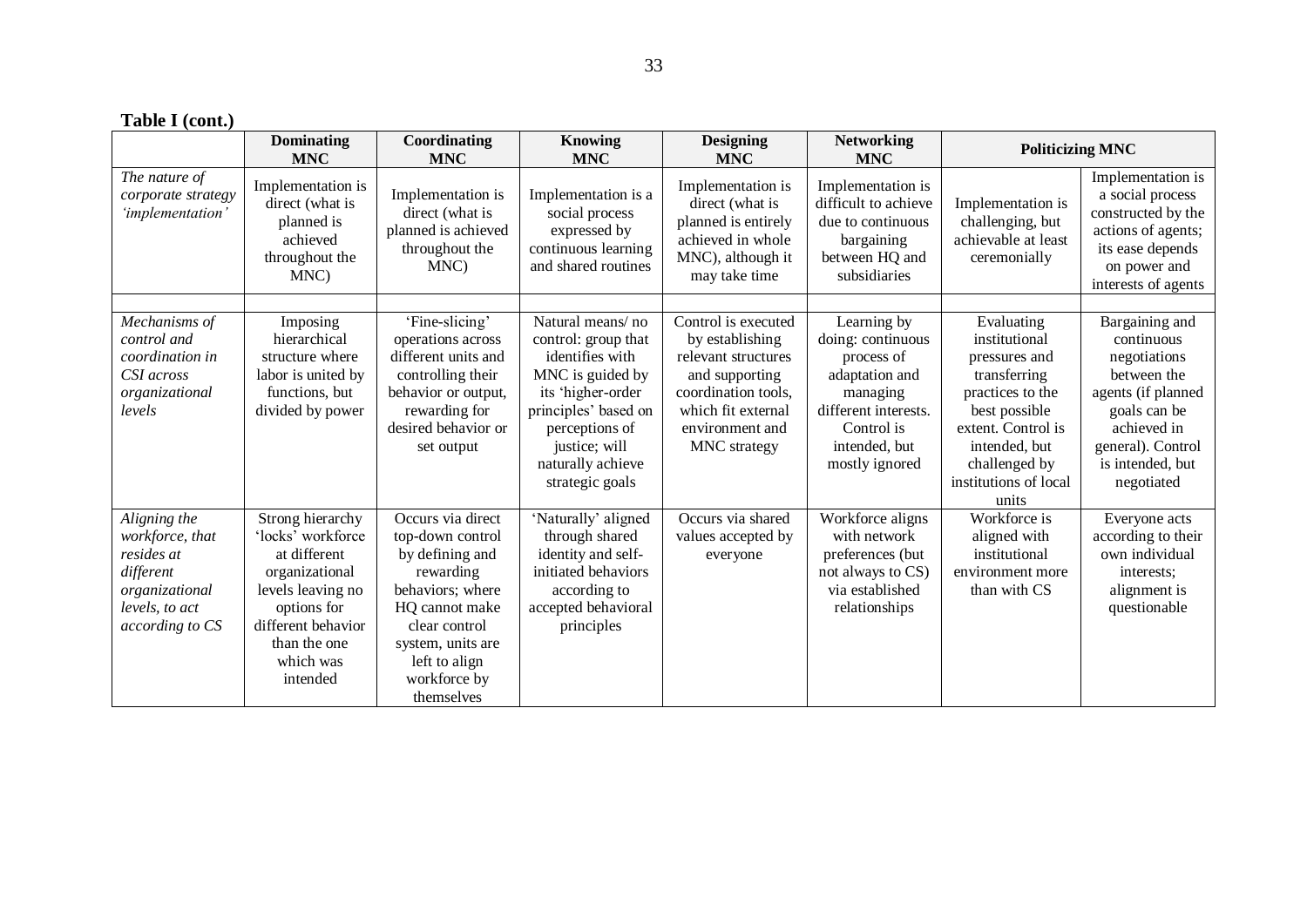|  |  |  | Table I (cont.) |  |
|--|--|--|-----------------|--|
|--|--|--|-----------------|--|

|                                                         | <b>Dominating</b><br><b>MNC</b>                                                          | Coordinating<br><b>MNC</b>                                                            | <b>Knowing</b><br><b>MNC</b>                                                                        | <b>Designing</b><br><b>MNC</b>                                                                                         | <b>Networking</b><br><b>MNC</b>                                                                                | <b>Politicizing MNC</b>                                                      |                                                                                                                                              |
|---------------------------------------------------------|------------------------------------------------------------------------------------------|---------------------------------------------------------------------------------------|-----------------------------------------------------------------------------------------------------|------------------------------------------------------------------------------------------------------------------------|----------------------------------------------------------------------------------------------------------------|------------------------------------------------------------------------------|----------------------------------------------------------------------------------------------------------------------------------------------|
| The nature of<br>corporate strategy<br>'implementation' | Implementation is<br>direct (what is<br>planned is<br>achieved<br>throughout the<br>MNC) | Implementation is<br>direct (what is<br>planned is achieved<br>throughout the<br>MNC) | Implementation is a<br>social process<br>expressed by<br>continuous learning<br>and shared routines | Implementation is<br>direct (what is<br>planned is entirely<br>achieved in whole<br>MNC), although it<br>may take time | Implementation is<br>difficult to achieve<br>due to continuous<br>bargaining<br>between HQ and<br>subsidiaries | Implementation is<br>challenging, but<br>achievable at least<br>ceremonially | Implementation is<br>a social process<br>constructed by the<br>actions of agents;<br>its ease depends<br>on power and<br>interests of agents |
| Mechanisms of                                           | Imposing                                                                                 | 'Fine-slicing'                                                                        | Natural means/no                                                                                    | Control is executed                                                                                                    | Learning by                                                                                                    | Evaluating                                                                   | Bargaining and                                                                                                                               |
| control and                                             | hierarchical                                                                             | operations across                                                                     | control: group that                                                                                 | by establishing                                                                                                        | doing: continuous                                                                                              | institutional                                                                | continuous                                                                                                                                   |
| coordination in                                         | structure where                                                                          | different units and                                                                   | identifies with                                                                                     | relevant structures                                                                                                    | process of                                                                                                     | pressures and                                                                | negotiations                                                                                                                                 |
| CSI across<br>organizational                            | labor is united by<br>functions, but                                                     | controlling their<br>behavior or output,                                              | MNC is guided by<br>its 'higher-order                                                               | and supporting<br>coordination tools,                                                                                  | adaptation and<br>managing                                                                                     | transferring<br>practices to the                                             | between the<br>agents (if planned                                                                                                            |
| levels                                                  | divided by power                                                                         | rewarding for                                                                         | principles' based on                                                                                | which fit external                                                                                                     | different interests.                                                                                           | best possible                                                                | goals can be                                                                                                                                 |
|                                                         |                                                                                          | desired behavior or                                                                   | perceptions of                                                                                      | environment and                                                                                                        | Control is                                                                                                     | extent. Control is                                                           | achieved in                                                                                                                                  |
|                                                         |                                                                                          | set output                                                                            | justice; will                                                                                       | MNC strategy                                                                                                           | intended, but                                                                                                  | intended, but                                                                | general). Control                                                                                                                            |
|                                                         |                                                                                          |                                                                                       | naturally achieve                                                                                   |                                                                                                                        | mostly ignored                                                                                                 | challenged by<br>institutions of local                                       | is intended, but                                                                                                                             |
|                                                         |                                                                                          |                                                                                       | strategic goals                                                                                     |                                                                                                                        |                                                                                                                | units                                                                        | negotiated                                                                                                                                   |
| Aligning the                                            | Strong hierarchy                                                                         | Occurs via direct                                                                     | 'Naturally' aligned                                                                                 | Occurs via shared                                                                                                      | Workforce aligns                                                                                               | Workforce is                                                                 | Everyone acts                                                                                                                                |
| workforce, that                                         | 'locks' workforce                                                                        | top-down control                                                                      | through shared                                                                                      | values accepted by                                                                                                     | with network                                                                                                   | aligned with                                                                 | according to their                                                                                                                           |
| resides at                                              | at different                                                                             | by defining and                                                                       | identity and self-                                                                                  | everyone                                                                                                               | preferences (but                                                                                               | institutional                                                                | own individual                                                                                                                               |
| different<br>organizational                             | organizational<br>levels leaving no                                                      | rewarding<br>behaviors; where                                                         | initiated behaviors<br>according to                                                                 |                                                                                                                        | not always to CS)<br>via established                                                                           | environment more<br>than with CS                                             | interests:<br>alignment is                                                                                                                   |
| levels, to act                                          | options for                                                                              | HQ cannot make                                                                        | accepted behavioral                                                                                 |                                                                                                                        | relationships                                                                                                  |                                                                              | questionable                                                                                                                                 |
| according to CS                                         | different behavior                                                                       | clear control                                                                         | principles                                                                                          |                                                                                                                        |                                                                                                                |                                                                              |                                                                                                                                              |
|                                                         | than the one                                                                             | system, units are                                                                     |                                                                                                     |                                                                                                                        |                                                                                                                |                                                                              |                                                                                                                                              |
|                                                         | which was                                                                                | left to align                                                                         |                                                                                                     |                                                                                                                        |                                                                                                                |                                                                              |                                                                                                                                              |
|                                                         | intended                                                                                 | workforce by<br>themselves                                                            |                                                                                                     |                                                                                                                        |                                                                                                                |                                                                              |                                                                                                                                              |
|                                                         |                                                                                          |                                                                                       |                                                                                                     |                                                                                                                        |                                                                                                                |                                                                              |                                                                                                                                              |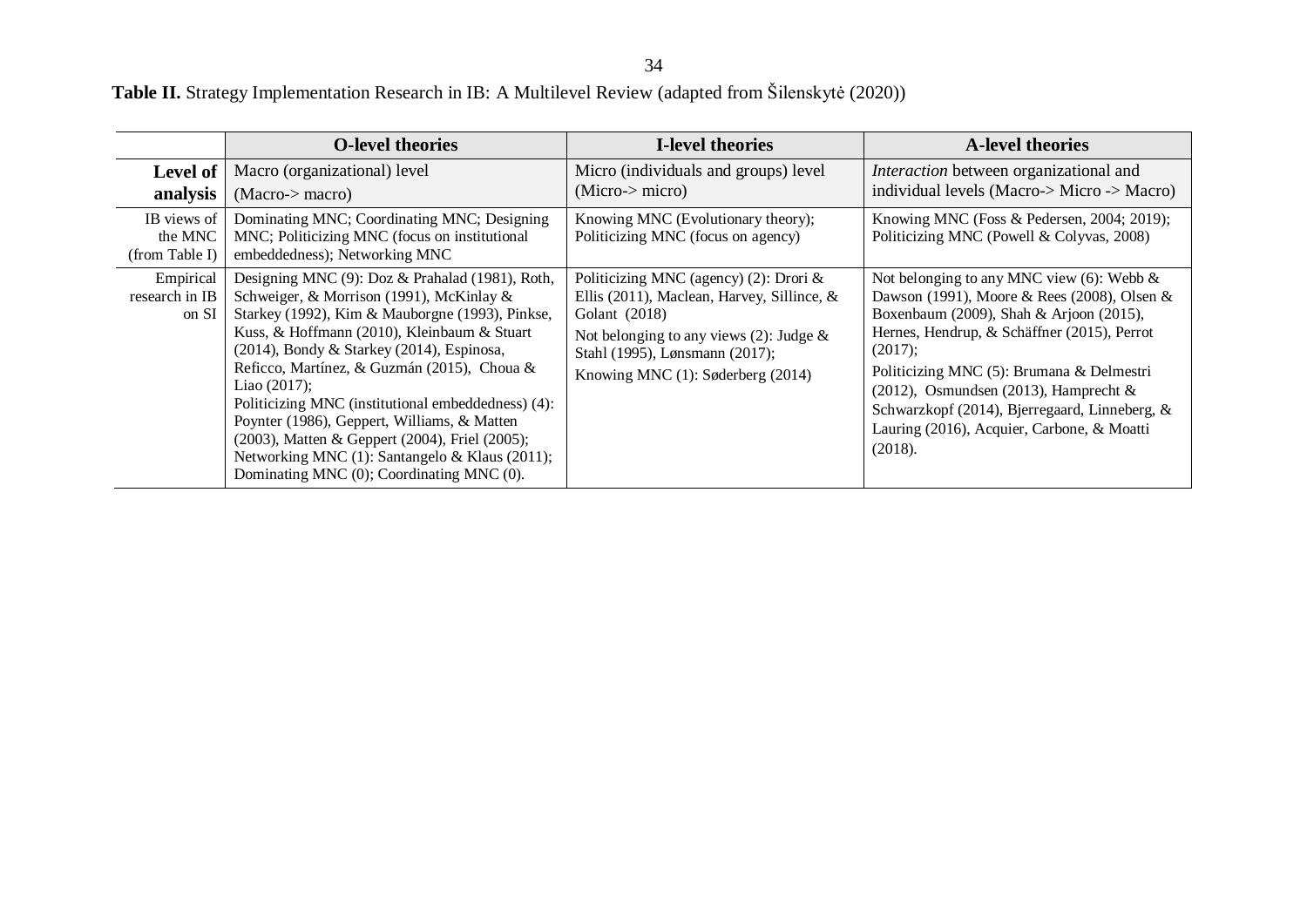**Table II.** Strategy Implementation Research in IB: A Multilevel Review (adapted from Šilenskytė (2020))

|                                          | <b>O-level theories</b>                                                                                                                                                                                                                                                                                                                                                                                                                                                                                                                                               | <b>I-level theories</b>                                                                                                                                                                                                       | <b>A-level theories</b>                                                                                                                                                                                                                                                                                                                                                                                |
|------------------------------------------|-----------------------------------------------------------------------------------------------------------------------------------------------------------------------------------------------------------------------------------------------------------------------------------------------------------------------------------------------------------------------------------------------------------------------------------------------------------------------------------------------------------------------------------------------------------------------|-------------------------------------------------------------------------------------------------------------------------------------------------------------------------------------------------------------------------------|--------------------------------------------------------------------------------------------------------------------------------------------------------------------------------------------------------------------------------------------------------------------------------------------------------------------------------------------------------------------------------------------------------|
| <b>Level of</b><br>analysis              | Macro (organizational) level<br>(Macc > macro)                                                                                                                                                                                                                                                                                                                                                                                                                                                                                                                        | Micro (individuals and groups) level<br>(Micro-> micro)                                                                                                                                                                       | <i>Interaction</i> between organizational and<br>individual levels (Macro-> Micro -> Macro)                                                                                                                                                                                                                                                                                                            |
| IB views of<br>the MNC<br>(from Table I) | Dominating MNC; Coordinating MNC; Designing<br>MNC; Politicizing MNC (focus on institutional<br>embeddedness); Networking MNC                                                                                                                                                                                                                                                                                                                                                                                                                                         | Knowing MNC (Evolutionary theory);<br>Politicizing MNC (focus on agency)                                                                                                                                                      | Knowing MNC (Foss & Pedersen, 2004; 2019);<br>Politicizing MNC (Powell & Colyvas, 2008)                                                                                                                                                                                                                                                                                                                |
| Empirical<br>research in IB<br>on SI     | Designing MNC (9): Doz & Prahalad (1981), Roth,<br>Schweiger, & Morrison (1991), McKinlay &<br>Starkey (1992), Kim & Mauborgne (1993), Pinkse,<br>Kuss, & Hoffmann (2010), Kleinbaum & Stuart<br>$(2014)$ , Bondy & Starkey $(2014)$ , Espinosa,<br>Reficco, Martínez, & Guzmán (2015), Choua &<br>Liao (2017);<br>Politicizing MNC (institutional embeddedness) (4):<br>Poynter (1986), Geppert, Williams, & Matten<br>(2003), Matten & Geppert (2004), Friel (2005);<br>Networking MNC (1): Santangelo & Klaus (2011);<br>Dominating MNC (0); Coordinating MNC (0). | Politicizing MNC (agency) (2): Drori $\&$<br>Ellis (2011), Maclean, Harvey, Sillince, &<br>Golant (2018)<br>Not belonging to any views (2): Judge $\&$<br>Stahl (1995), Lønsmann (2017);<br>Knowing MNC (1): Søderberg (2014) | Not belonging to any MNC view $(6)$ : Webb &<br>Dawson (1991), Moore & Rees (2008), Olsen &<br>Boxenbaum (2009), Shah & Arjoon (2015),<br>Hernes, Hendrup, & Schäffner (2015), Perrot<br>(2017);<br>Politicizing MNC (5): Brumana & Delmestri<br>$(2012)$ , Osmundsen $(2013)$ , Hamprecht &<br>Schwarzkopf (2014), Bjerregaard, Linneberg, &<br>Lauring (2016), Acquier, Carbone, & Moatti<br>(2018). |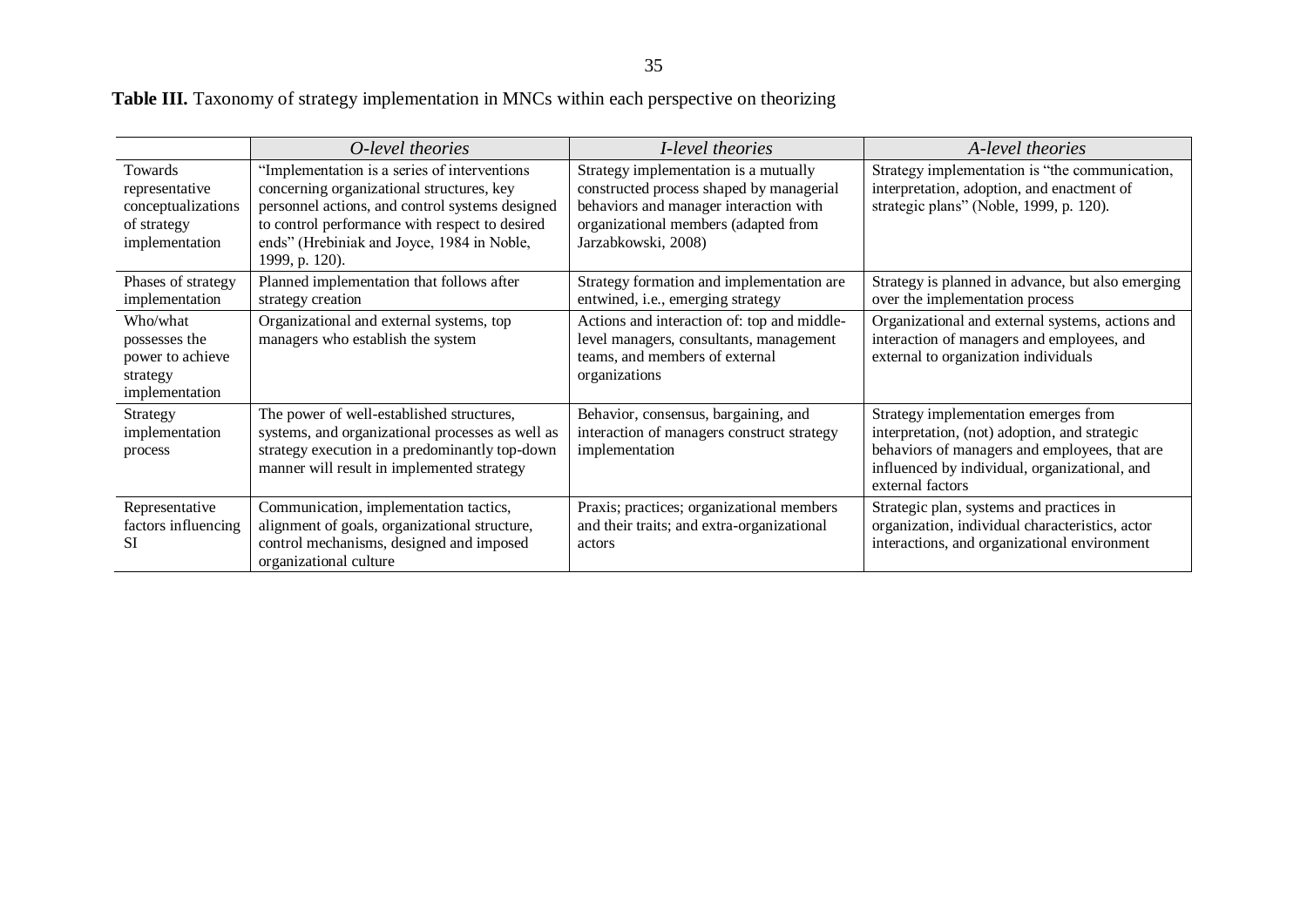**Table III.** Taxonomy of strategy implementation in MNCs within each perspective on theorizing

|                                                                                  | O-level theories                                                                                                                                                                                                                                               | I-level theories                                                                                                                                                                           | A-level theories                                                                                                                                                                                            |
|----------------------------------------------------------------------------------|----------------------------------------------------------------------------------------------------------------------------------------------------------------------------------------------------------------------------------------------------------------|--------------------------------------------------------------------------------------------------------------------------------------------------------------------------------------------|-------------------------------------------------------------------------------------------------------------------------------------------------------------------------------------------------------------|
| Towards<br>representative<br>conceptualizations<br>of strategy<br>implementation | "Implementation is a series of interventions<br>concerning organizational structures, key<br>personnel actions, and control systems designed<br>to control performance with respect to desired<br>ends" (Hrebiniak and Joyce, 1984 in Noble,<br>1999, p. 120). | Strategy implementation is a mutually<br>constructed process shaped by managerial<br>behaviors and manager interaction with<br>organizational members (adapted from<br>Jarzabkowski, 2008) | Strategy implementation is "the communication,<br>interpretation, adoption, and enactment of<br>strategic plans" (Noble, 1999, p. 120).                                                                     |
| Phases of strategy<br>implementation                                             | Planned implementation that follows after<br>strategy creation                                                                                                                                                                                                 | Strategy formation and implementation are<br>entwined, i.e., emerging strategy                                                                                                             | Strategy is planned in advance, but also emerging<br>over the implementation process                                                                                                                        |
| Who/what<br>possesses the<br>power to achieve<br>strategy<br>implementation      | Organizational and external systems, top<br>managers who establish the system                                                                                                                                                                                  | Actions and interaction of: top and middle-<br>level managers, consultants, management<br>teams, and members of external<br>organizations                                                  | Organizational and external systems, actions and<br>interaction of managers and employees, and<br>external to organization individuals                                                                      |
| Strategy<br>implementation<br>process                                            | The power of well-established structures,<br>systems, and organizational processes as well as<br>strategy execution in a predominantly top-down<br>manner will result in implemented strategy                                                                  | Behavior, consensus, bargaining, and<br>interaction of managers construct strategy<br>implementation                                                                                       | Strategy implementation emerges from<br>interpretation, (not) adoption, and strategic<br>behaviors of managers and employees, that are<br>influenced by individual, organizational, and<br>external factors |
| Representative<br>factors influencing<br>SI.                                     | Communication, implementation tactics,<br>alignment of goals, organizational structure,<br>control mechanisms, designed and imposed<br>organizational culture                                                                                                  | Praxis; practices; organizational members<br>and their traits; and extra-organizational<br>actors                                                                                          | Strategic plan, systems and practices in<br>organization, individual characteristics, actor<br>interactions, and organizational environment                                                                 |